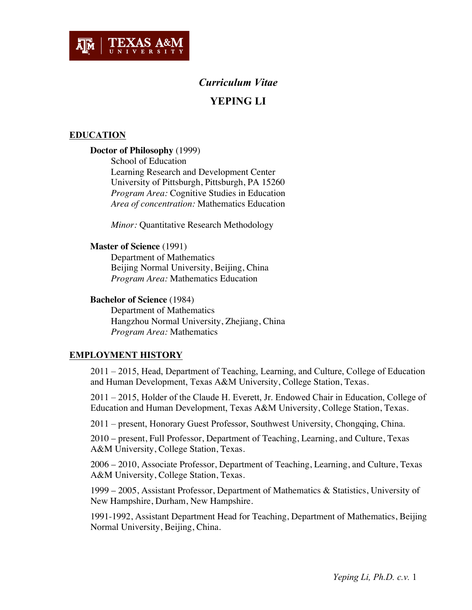

# *Curriculum Vitae* **YEPING LI**

# **EDUCATION**

## **Doctor of Philosophy** (1999)

School of Education Learning Research and Development Center University of Pittsburgh, Pittsburgh, PA 15260 *Program Area:* Cognitive Studies in Education *Area of concentration:* Mathematics Education

*Minor:* Quantitative Research Methodology

#### **Master of Science** (1991)

Department of Mathematics Beijing Normal University, Beijing, China *Program Area:* Mathematics Education

#### **Bachelor of Science** (1984)

Department of Mathematics Hangzhou Normal University, Zhejiang, China *Program Area:* Mathematics

# **EMPLOYMENT HISTORY**

2011 – 2015, Head, Department of Teaching, Learning, and Culture, College of Education and Human Development, Texas A&M University, College Station, Texas.

2011 – 2015, Holder of the Claude H. Everett, Jr. Endowed Chair in Education, College of Education and Human Development, Texas A&M University, College Station, Texas.

2011 – present, Honorary Guest Professor, Southwest University, Chongqing, China.

2010 – present, Full Professor, Department of Teaching, Learning, and Culture, Texas A&M University, College Station, Texas.

2006 – 2010, Associate Professor, Department of Teaching, Learning, and Culture, Texas A&M University, College Station, Texas.

1999 – 2005, Assistant Professor, Department of Mathematics & Statistics, University of New Hampshire, Durham, New Hampshire.

1991-1992, Assistant Department Head for Teaching, Department of Mathematics, Beijing Normal University, Beijing, China.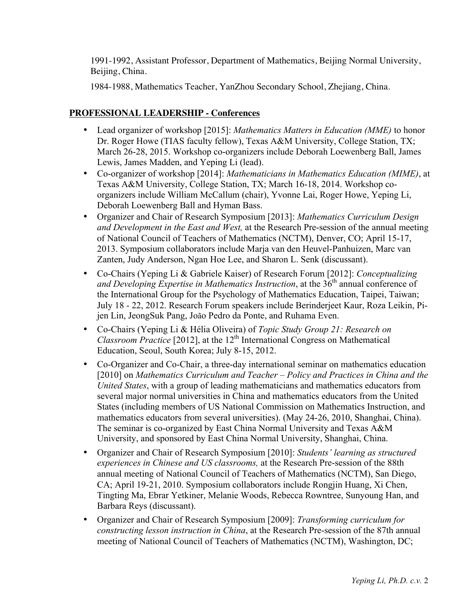1991-1992, Assistant Professor, Department of Mathematics, Beijing Normal University, Beijing, China.

1984-1988, Mathematics Teacher, YanZhou Secondary School, Zhejiang, China.

# **PROFESSIONAL LEADERSHIP - Conferences**

- Lead organizer of workshop [2015]: *Mathematics Matters in Education (MME)* to honor Dr. Roger Howe (TIAS faculty fellow), Texas A&M University, College Station, TX; March 26-28, 2015. Workshop co-organizers include Deborah Loewenberg Ball, James Lewis, James Madden, and Yeping Li (lead).
- Co-organizer of workshop [2014]: *Mathematicians in Mathematics Education (MIME)*, at Texas A&M University, College Station, TX; March 16-18, 2014. Workshop coorganizers include William McCallum (chair), Yvonne Lai, Roger Howe, Yeping Li, Deborah Loewenberg Ball and Hyman Bass.
- Organizer and Chair of Research Symposium [2013]: *Mathematics Curriculum Design and Development in the East and West,* at the Research Pre-session of the annual meeting of National Council of Teachers of Mathematics (NCTM), Denver, CO; April 15-17, 2013. Symposium collaborators include Marja van den Heuvel-Panhuizen, Marc van Zanten, Judy Anderson, Ngan Hoe Lee, and Sharon L. Senk (discussant).
- Co-Chairs (Yeping Li & Gabriele Kaiser) of Research Forum [2012]: *Conceptualizing and Developing Expertise in Mathematics Instruction*, at the 36<sup>th</sup> annual conference of the International Group for the Psychology of Mathematics Education, Taipei, Taiwan; July 18 - 22, 2012. Research Forum speakers include Berinderjeet Kaur, Roza Leikin, Pijen Lin, JeongSuk Pang, João Pedro da Ponte, and Ruhama Even.
- Co-Chairs (Yeping Li & Hélia Oliveira) of *Topic Study Group 21: Research on Classroom Practice* [2012], at the 12<sup>th</sup> International Congress on Mathematical Education, Seoul, South Korea; July 8-15, 2012.
- Co-Organizer and Co-Chair, a three-day international seminar on mathematics education [2010] on *Mathematics Curriculum and Teacher – Policy and Practices in China and the United States*, with a group of leading mathematicians and mathematics educators from several major normal universities in China and mathematics educators from the United States (including members of US National Commission on Mathematics Instruction, and mathematics educators from several universities). (May 24-26, 2010, Shanghai, China). The seminar is co-organized by East China Normal University and Texas A&M University, and sponsored by East China Normal University, Shanghai, China.
- Organizer and Chair of Research Symposium [2010]: *Students' learning as structured experiences in Chinese and US classrooms,* at the Research Pre-session of the 88th annual meeting of National Council of Teachers of Mathematics (NCTM), San Diego, CA; April 19-21, 2010. Symposium collaborators include Rongjin Huang, Xi Chen, Tingting Ma, Ebrar Yetkiner, Melanie Woods, Rebecca Rowntree, Sunyoung Han, and Barbara Reys (discussant).
- Organizer and Chair of Research Symposium [2009]: *Transforming curriculum for constructing lesson instruction in China*, at the Research Pre-session of the 87th annual meeting of National Council of Teachers of Mathematics (NCTM), Washington, DC;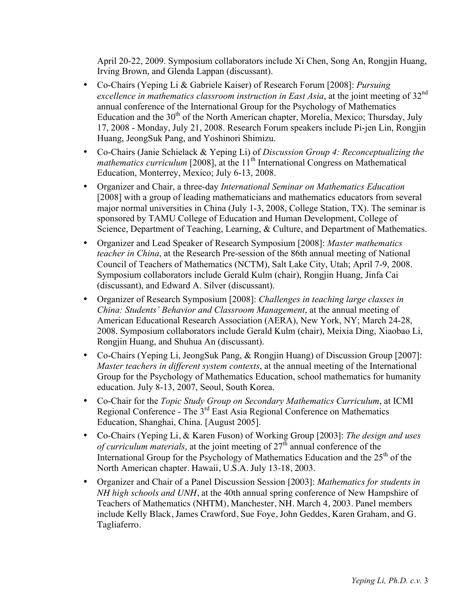April 20-22, 2009. Symposium collaborators include Xi Chen, Song An, Rongjin Huang, Irving Brown, and Glenda Lappan (discussant).

- Co-Chairs (Yeping Li & Gabriele Kaiser) of Research Forum [2008]: *Pursuing excellence in mathematics classroom instruction in East Asia*, at the joint meeting of 32nd annual conference of the International Group for the Psychology of Mathematics Education and the  $30<sup>th</sup>$  of the North American chapter, Morelia, Mexico; Thursday, July 17, 2008 - Monday, July 21, 2008. Research Forum speakers include Pi-jen Lin, Rongjin Huang, JeongSuk Pang, and Yoshinori Shimizu.
- Co-Chairs (Janie Schielack & Yeping Li) of *Discussion Group 4: Reconceptualizing the mathematics curriculum* [2008], at the 11<sup>th</sup> International Congress on Mathematical Education, Monterrey, Mexico; July 6-13, 2008.
- Organizer and Chair, a three-day *International Seminar on Mathematics Education* [2008] with a group of leading mathematicians and mathematics educators from several major normal universities in China (July 1-3, 2008, College Station, TX). The seminar is sponsored by TAMU College of Education and Human Development, College of Science, Department of Teaching, Learning, & Culture, and Department of Mathematics.
- Organizer and Lead Speaker of Research Symposium [2008]: *Master mathematics teacher in China*, at the Research Pre-session of the 86th annual meeting of National Council of Teachers of Mathematics (NCTM), Salt Lake City, Utah; April 7-9, 2008. Symposium collaborators include Gerald Kulm (chair), Rongjin Huang, Jinfa Cai (discussant), and Edward A. Silver (discussant).
- Organizer of Research Symposium [2008]: *Challenges in teaching large classes in China: Students' Behavior and Classroom Management*, at the annual meeting of American Educational Research Association (AERA), New York, NY; March 24-28, 2008. Symposium collaborators include Gerald Kulm (chair), Meixia Ding, Xiaobao Li, Rongjin Huang, and Shuhua An (discussant).
- Co-Chairs (Yeping Li, JeongSuk Pang, & Rongjin Huang) of Discussion Group [2007]: *Master teachers in different system contexts*, at the annual meeting of the International Group for the Psychology of Mathematics Education, school mathematics for humanity education. July 8-13, 2007, Seoul, South Korea.
- Co-Chair for the *Topic Study Group on Secondary Mathematics Curriculum*, at ICMI Regional Conference - The  $3<sup>rd</sup>$  East Asia Regional Conference on Mathematics Education, Shanghai, China. [August 2005].
- Co-Chairs (Yeping Li, & Karen Fuson) of Working Group [2003]: *The design and uses of curriculum materials*, at the joint meeting of 27<sup>th</sup> annual conference of the International Group for the Psychology of Mathematics Education and the  $25<sup>th</sup>$  of the North American chapter. Hawaii, U.S.A. July 13-18, 2003.
- Organizer and Chair of a Panel Discussion Session [2003]: *Mathematics for students in NH high schools and UNH*, at the 40th annual spring conference of New Hampshire of Teachers of Mathematics (NHTM), Manchester, NH. March 4, 2003. Panel members include Kelly Black, James Crawford, Sue Foye, John Geddes, Karen Graham, and G. Tagliaferro.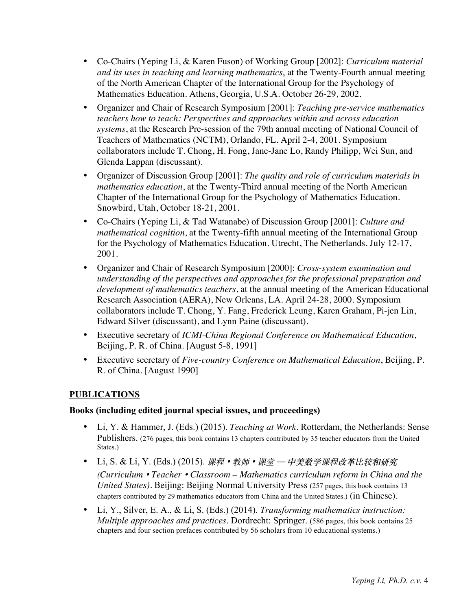- Co-Chairs (Yeping Li, & Karen Fuson) of Working Group [2002]: *Curriculum material and its uses in teaching and learning mathematics*, at the Twenty-Fourth annual meeting of the North American Chapter of the International Group for the Psychology of Mathematics Education. Athens, Georgia, U.S.A. October 26-29, 2002.
- Organizer and Chair of Research Symposium [2001]: *Teaching pre-service mathematics teachers how to teach: Perspectives and approaches within and across education systems*, at the Research Pre-session of the 79th annual meeting of National Council of Teachers of Mathematics (NCTM), Orlando, FL. April 2-4, 2001. Symposium collaborators include T. Chong, H. Fong, Jane-Jane Lo, Randy Philipp, Wei Sun, and Glenda Lappan (discussant).
- Organizer of Discussion Group [2001]: *The quality and role of curriculum materials in mathematics education*, at the Twenty-Third annual meeting of the North American Chapter of the International Group for the Psychology of Mathematics Education. Snowbird, Utah, October 18-21, 2001.
- Co-Chairs (Yeping Li, & Tad Watanabe) of Discussion Group [2001]: *Culture and mathematical cognition*, at the Twenty-fifth annual meeting of the International Group for the Psychology of Mathematics Education. Utrecht, The Netherlands. July 12-17, 2001.
- Organizer and Chair of Research Symposium [2000]: *Cross-system examination and understanding of the perspectives and approaches for the professional preparation and development of mathematics teachers*, at the annual meeting of the American Educational Research Association (AERA), New Orleans, LA. April 24-28, 2000. Symposium collaborators include T. Chong, Y. Fang, Frederick Leung, Karen Graham, Pi-jen Lin, Edward Silver (discussant), and Lynn Paine (discussant).
- Executive secretary of *ICMI-China Regional Conference on Mathematical Education*, Beijing, P. R. of China. [August 5-8, 1991]
- Executive secretary of *Five-country Conference on Mathematical Education*, Beijing, P. R. of China. [August 1990]

# **PUBLICATIONS**

## **Books (including edited journal special issues, and proceedings)**

- Li, Y. & Hammer, J. (Eds.) (2015). *Teaching at Work*. Rotterdam, the Netherlands: Sense Publishers. (276 pages, this book contains 13 chapters contributed by 35 teacher educators from the United States.)
- Li, S. & Li, Y. (Eds.) (2015). 课程 教师 课堂 中美数学课程改革比较和研究 *(Curriculum* • *Teacher* • *Classroom – Mathematics curriculum reform in China and the United States)*. Beijing: Beijing Normal University Press (257 pages, this book contains 13 chapters contributed by 29 mathematics educators from China and the United States.) (in Chinese).
- Li, Y., Silver, E. A., & Li, S. (Eds.) (2014). *Transforming mathematics instruction: Multiple approaches and practices*. Dordrecht: Springer. (586 pages, this book contains 25 chapters and four section prefaces contributed by 56 scholars from 10 educational systems.)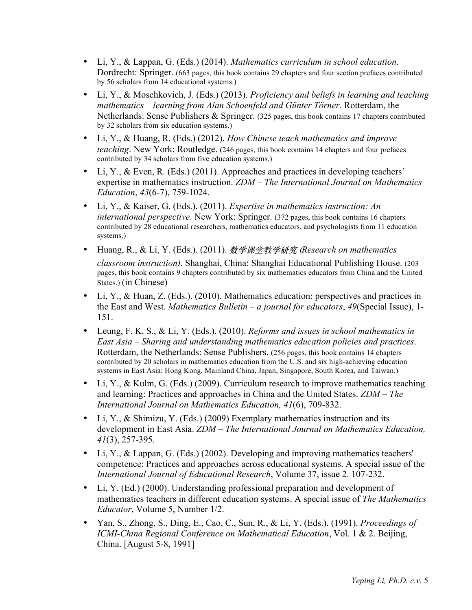- Li, Y., & Lappan, G. (Eds.) (2014). *Mathematics curriculum in school education*. Dordrecht: Springer. (663 pages, this book contains 29 chapters and four section prefaces contributed by 56 scholars from 14 educational systems.)
- Li, Y., & Moschkovich, J. (Eds.) (2013). *Proficiency and beliefs in learning and teaching mathematics – learning from Alan Schoenfeld and Günter Törner.* Rotterdam, the Netherlands: Sense Publishers & Springer. (325 pages, this book contains 17 chapters contributed by 32 scholars from six education systems.)
- Li, Y., & Huang, R. (Eds.) (2012). *How Chinese teach mathematics and improve teaching*. New York: Routledge. (246 pages, this book contains 14 chapters and four prefaces contributed by 34 scholars from five education systems.)
- Li, Y., & Even, R. (Eds.) (2011). Approaches and practices in developing teachers' expertise in mathematics instruction. *ZDM – The International Journal on Mathematics Education*, *43*(6-7), 759-1024.
- Li, Y., & Kaiser, G. (Eds.). (2011). *Expertise in mathematics instruction: An international perspective*. New York: Springer. (372 pages, this book contains 16 chapters contributed by 28 educational researchers, mathematics educators, and psychologists from 11 education systems.)
- Huang, R., & Li, Y. (Eds.). (2011). **数学**课堂教**学研究 (***Research on mathematics classroom instruction)*. Shanghai, China: Shanghai Educational Publishing House. (203 pages, this book contains 9 chapters contributed by six mathematics educators from China and the United States.) (in Chinese)
- Li, Y., & Huan, Z. (Eds.). (2010). Mathematics education: perspectives and practices in the East and West. *Mathematics Bulletin – a journal for educators*, *49*(Special Issue), 1- 151.
- Leung, F. K. S., & Li, Y. (Eds.). (2010). *Reforms and issues in school mathematics in East Asia – Sharing and understanding mathematics education policies and practices*. Rotterdam, the Netherlands: Sense Publishers. (256 pages, this book contains 14 chapters contributed by 20 scholars in mathematics education from the U.S. and six high-achieving education systems in East Asia: Hong Kong, Mainland China, Japan, Singapore, South Korea, and Taiwan.)
- Li, Y., & Kulm, G. (Eds.) (2009). Curriculum research to improve mathematics teaching and learning: Practices and approaches in China and the United States. *ZDM – The International Journal on Mathematics Education, 41*(6), 709-832.
- Li, Y., & Shimizu, Y. (Eds.) (2009) Exemplary mathematics instruction and its development in East Asia. *ZDM – The International Journal on Mathematics Education, 41*(3), 257-395.
- Li, Y., & Lappan, G. (Eds.) (2002). Developing and improving mathematics teachers' competence: Practices and approaches across educational systems. A special issue of the *International Journal of Educational Research*, Volume 37, issue 2. 107-232.
- Li, Y. (Ed.) (2000). Understanding professional preparation and development of mathematics teachers in different education systems. A special issue of *The Mathematics Educator*, Volume 5, Number 1/2.
- Yan, S., Zhong, S., Ding, E., Cao, C., Sun, R., & Li, Y. (Eds.). (1991). *Proceedings of ICMI-China Regional Conference on Mathematical Education*, Vol. 1 & 2. Beijing, China. [August 5-8, 1991]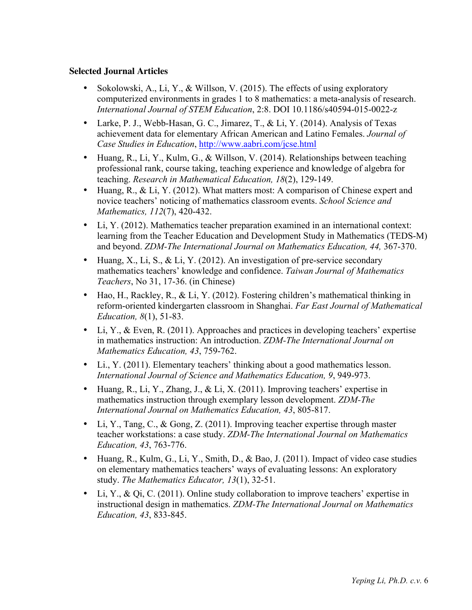# **Selected Journal Articles**

- Sokolowski, A., Li, Y., & Willson, V. (2015). The effects of using exploratory computerized environments in grades 1 to 8 mathematics: a meta-analysis of research. *International Journal of STEM Education*, 2:8. DOI 10.1186/s40594-015-0022-z
- Larke, P. J., Webb-Hasan, G. C., Jimarez, T., & Li, Y. (2014). Analysis of Texas achievement data for elementary African American and Latino Females. *Journal of Case Studies in Education*, http://www.aabri.com/jcse.html
- Huang, R., Li, Y., Kulm, G., & Willson, V. (2014). Relationships between teaching professional rank, course taking, teaching experience and knowledge of algebra for teaching. *Research in Mathematical Education, 18*(2), 129-149.
- Huang, R., & Li, Y. (2012). What matters most: A comparison of Chinese expert and novice teachers' noticing of mathematics classroom events. *School Science and Mathematics, 112*(7), 420-432.
- Li, Y. (2012). Mathematics teacher preparation examined in an international context: learning from the Teacher Education and Development Study in Mathematics (TEDS-M) and beyond. *ZDM-The International Journal on Mathematics Education, 44,* 367-370.
- Huang, X., Li, S., & Li, Y. (2012). An investigation of pre-service secondary mathematics teachers' knowledge and confidence. *Taiwan Journal of Mathematics Teachers*, No 31, 17-36. (in Chinese)
- Hao, H., Rackley, R., & Li, Y. (2012). Fostering children's mathematical thinking in reform-oriented kindergarten classroom in Shanghai. *Far East Journal of Mathematical Education, 8*(1), 51-83.
- Li, Y., & Even, R. (2011). Approaches and practices in developing teachers' expertise in mathematics instruction: An introduction. *ZDM-The International Journal on Mathematics Education, 43*, 759-762.
- Li., Y. (2011). Elementary teachers' thinking about a good mathematics lesson. *International Journal of Science and Mathematics Education, 9*, 949-973.
- Huang, R., Li, Y., Zhang, J., & Li, X. (2011). Improving teachers' expertise in mathematics instruction through exemplary lesson development. *ZDM-The International Journal on Mathematics Education, 43*, 805-817.
- Li, Y., Tang, C., & Gong, Z. (2011). Improving teacher expertise through master teacher workstations: a case study. *ZDM-The International Journal on Mathematics Education, 43*, 763-776.
- Huang, R., Kulm, G., Li, Y., Smith, D., & Bao, J. (2011). Impact of video case studies on elementary mathematics teachers' ways of evaluating lessons: An exploratory study. *The Mathematics Educator, 13*(1), 32-51.
- Li, Y., & Qi, C. (2011). Online study collaboration to improve teachers' expertise in instructional design in mathematics. *ZDM-The International Journal on Mathematics Education, 43*, 833-845.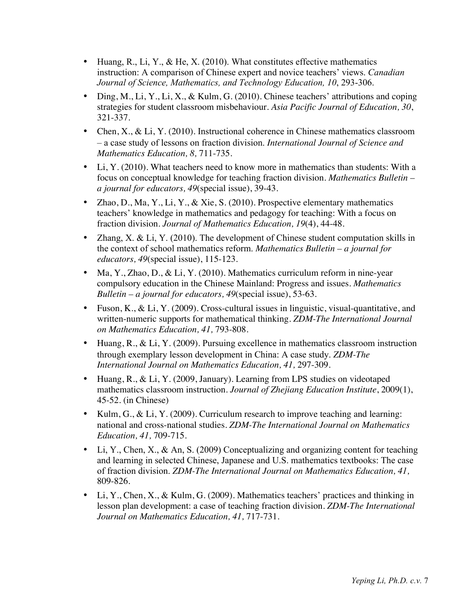- Huang, R., Li, Y., & He, X. (2010). What constitutes effective mathematics instruction: A comparison of Chinese expert and novice teachers' views. *Canadian Journal of Science, Mathematics, and Technology Education, 10*, 293-306.
- Ding, M., Li, Y., Li, X., & Kulm, G. (2010). Chinese teachers' attributions and coping strategies for student classroom misbehaviour. *Asia Pacific Journal of Education, 30*, 321-337.
- Chen, X., & Li, Y. (2010). Instructional coherence in Chinese mathematics classroom – a case study of lessons on fraction division. *International Journal of Science and Mathematics Education, 8,* 711-735.
- Li, Y. (2010). What teachers need to know more in mathematics than students: With a focus on conceptual knowledge for teaching fraction division. *Mathematics Bulletin – a journal for educators, 49*(special issue), 39-43.
- Zhao, D., Ma, Y., Li, Y., & Xie, S. (2010). Prospective elementary mathematics teachers' knowledge in mathematics and pedagogy for teaching: With a focus on fraction division. *Journal of Mathematics Education, 19*(4), 44-48.
- Zhang, X. & Li, Y. (2010). The development of Chinese student computation skills in the context of school mathematics reform. *Mathematics Bulletin – a journal for educators, 49*(special issue), 115-123.
- Ma, Y., Zhao, D., & Li, Y. (2010). Mathematics curriculum reform in nine-year compulsory education in the Chinese Mainland: Progress and issues. *Mathematics Bulletin – a journal for educators, 49*(special issue), 53-63.
- Fuson, K., & Li, Y. (2009). Cross-cultural issues in linguistic, visual-quantitative, and written-numeric supports for mathematical thinking. *ZDM-The International Journal on Mathematics Education, 41,* 793-808.
- Huang, R., & Li, Y. (2009). Pursuing excellence in mathematics classroom instruction through exemplary lesson development in China: A case study. *ZDM-The International Journal on Mathematics Education, 41,* 297-309.
- Huang, R., & Li, Y. (2009, January). Learning from LPS studies on videotaped mathematics classroom instruction. *Journal of Zhejiang Education Institute*, 2009(1), 45-52. (in Chinese)
- Kulm, G., & Li, Y. (2009). Curriculum research to improve teaching and learning: national and cross-national studies. *ZDM-The International Journal on Mathematics Education, 41,* 709-715.
- Li, Y., Chen, X., & An, S. (2009) Conceptualizing and organizing content for teaching and learning in selected Chinese, Japanese and U.S. mathematics textbooks: The case of fraction division. *ZDM-The International Journal on Mathematics Education, 41,*  809-826.
- Li, Y., Chen, X., & Kulm, G. (2009). Mathematics teachers' practices and thinking in lesson plan development: a case of teaching fraction division. *ZDM-The International Journal on Mathematics Education, 41,* 717-731.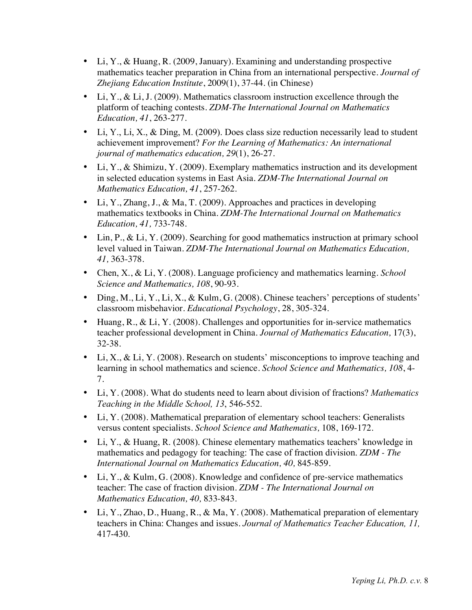- Li, Y., & Huang, R. (2009, January). Examining and understanding prospective mathematics teacher preparation in China from an international perspective. *Journal of Zhejiang Education Institute*, 2009(1), 37-44. (in Chinese)
- Li, Y., & Li, J. (2009). Mathematics classroom instruction excellence through the platform of teaching contests. *ZDM-The International Journal on Mathematics Education, 41*, 263-277.
- Li, Y., Li, X., & Ding, M. (2009). Does class size reduction necessarily lead to student achievement improvement? *For the Learning of Mathematics: An international journal of mathematics education, 29*(1), 26-27.
- Li, Y., & Shimizu, Y. (2009). Exemplary mathematics instruction and its development in selected education systems in East Asia. *ZDM-The International Journal on Mathematics Education, 41*, 257-262.
- Li, Y., Zhang, J., & Ma, T. (2009). Approaches and practices in developing mathematics textbooks in China. *ZDM-The International Journal on Mathematics Education, 41,* 733-748.
- Lin, P., & Li, Y. (2009). Searching for good mathematics instruction at primary school level valued in Taiwan. *ZDM-The International Journal on Mathematics Education, 41,* 363-378.
- Chen, X., & Li, Y. (2008). Language proficiency and mathematics learning. *School Science and Mathematics, 108*, 90-93.
- Ding, M., Li, Y., Li, X., & Kulm, G. (2008). Chinese teachers' perceptions of students' classroom misbehavior. *Educational Psychology*, 28, 305-324.
- Huang, R., & Li, Y. (2008). Challenges and opportunities for in-service mathematics teacher professional development in China. *Journal of Mathematics Education,* 17(3), 32-38.
- Li, X., & Li, Y. (2008). Research on students' misconceptions to improve teaching and learning in school mathematics and science. *School Science and Mathematics, 108*, 4- 7.
- Li, Y. (2008). What do students need to learn about division of fractions? *Mathematics Teaching in the Middle School, 13*, 546-552.
- Li, Y. (2008). Mathematical preparation of elementary school teachers: Generalists versus content specialists. *School Science and Mathematics,* 108, 169-172.
- Li, Y., & Huang, R. (2008). Chinese elementary mathematics teachers' knowledge in mathematics and pedagogy for teaching: The case of fraction division. *ZDM - The International Journal on Mathematics Education, 40,* 845-859.
- Li, Y., & Kulm, G. (2008). Knowledge and confidence of pre-service mathematics teacher: The case of fraction division. *ZDM - The International Journal on Mathematics Education, 40,* 833-843.
- Li, Y., Zhao, D., Huang, R., & Ma, Y. (2008). Mathematical preparation of elementary teachers in China: Changes and issues. *Journal of Mathematics Teacher Education, 11,*  417-430.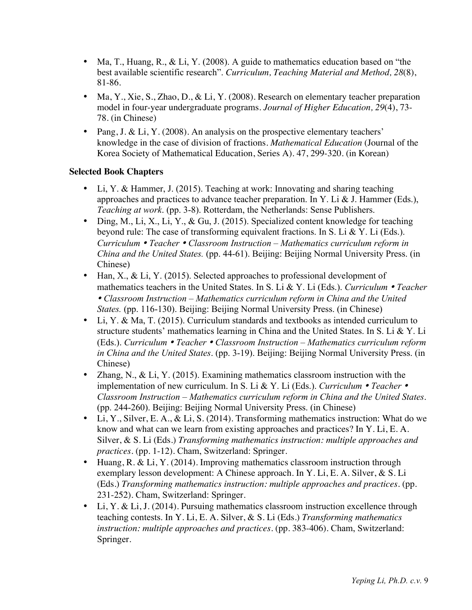- Ma, T., Huang, R., & Li, Y. (2008). A guide to mathematics education based on "the best available scientific research". *Curriculum, Teaching Material and Method, 28*(8), 81-86.
- Ma, Y., Xie, S., Zhao, D., & Li, Y. (2008). Research on elementary teacher preparation model in four-year undergraduate programs. *Journal of Higher Education, 29*(4), 73- 78. (in Chinese)
- Pang, J. & Li, Y. (2008). An analysis on the prospective elementary teachers' knowledge in the case of division of fractions. *Mathematical Education* (Journal of the Korea Society of Mathematical Education, Series A). 47, 299-320. (in Korean)

# **Selected Book Chapters**

- Li, Y. & Hammer, J. (2015). Teaching at work: Innovating and sharing teaching approaches and practices to advance teacher preparation. In Y. Li  $&$  J. Hammer (Eds.), *Teaching at work*. (pp. 3-8). Rotterdam, the Netherlands: Sense Publishers.
- Ding, M., Li, X., Li, Y., & Gu, J. (2015). Specialized content knowledge for teaching beyond rule: The case of transforming equivalent fractions. In S. Li & Y. Li (Eds.). *Curriculum* • *Teacher* • *Classroom Instruction – Mathematics curriculum reform in China and the United States.* (pp. 44-61). Beijing: Beijing Normal University Press. (in Chinese)
- Han, X., & Li, Y. (2015). Selected approaches to professional development of mathematics teachers in the United States. In S. Li & Y. Li (Eds.). *Curriculum* • *Teacher* • *Classroom Instruction – Mathematics curriculum reform in China and the United States.* (pp. 116-130). Beijing: Beijing Normal University Press. (in Chinese)
- Li, Y. & Ma, T. (2015). Curriculum standards and textbooks as intended curriculum to structure students' mathematics learning in China and the United States. In S. Li & Y. Li (Eds.). *Curriculum* • *Teacher* • *Classroom Instruction – Mathematics curriculum reform in China and the United States*. (pp. 3-19). Beijing: Beijing Normal University Press. (in Chinese)
- Zhang, N., & Li, Y. (2015). Examining mathematics classroom instruction with the implementation of new curriculum. In S. Li & Y. Li (Eds.). *Curriculum* • *Teacher* • *Classroom Instruction – Mathematics curriculum reform in China and the United States*. (pp. 244-260). Beijing: Beijing Normal University Press. (in Chinese)
- Li, Y., Silver, E. A., & Li, S. (2014). Transforming mathematics instruction: What do we know and what can we learn from existing approaches and practices? In Y. Li, E. A. Silver, & S. Li (Eds.) *Transforming mathematics instruction: multiple approaches and practices*. (pp. 1-12). Cham, Switzerland: Springer.
- Huang, R. & Li, Y. (2014). Improving mathematics classroom instruction through exemplary lesson development: A Chinese approach. In Y. Li, E. A. Silver, & S. Li (Eds.) *Transforming mathematics instruction: multiple approaches and practices*. (pp. 231-252). Cham, Switzerland: Springer.
- Li, Y. & Li, J. (2014). Pursuing mathematics classroom instruction excellence through teaching contests. In Y. Li, E. A. Silver, & S. Li (Eds.) *Transforming mathematics instruction: multiple approaches and practices*. (pp. 383-406). Cham, Switzerland: Springer.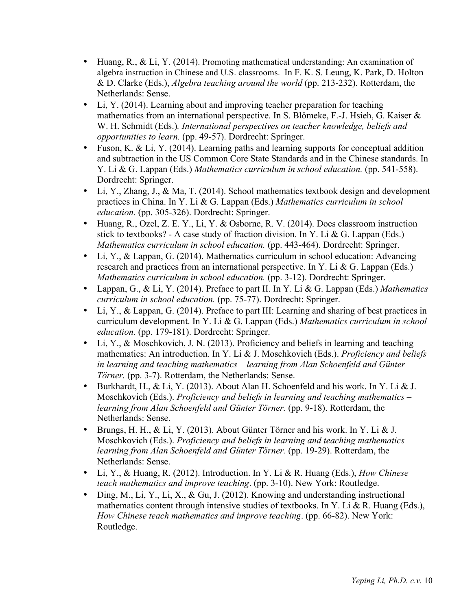- Huang, R., & Li, Y. (2014). Promoting mathematical understanding: An examination of algebra instruction in Chinese and U.S. classrooms. In F. K. S. Leung, K. Park, D. Holton & D. Clarke (Eds.), *Algebra teaching around the world* (pp. 213-232). Rotterdam, the Netherlands: Sense.
- Li, Y. (2014). Learning about and improving teacher preparation for teaching mathematics from an international perspective. In S. Blömeke, F.-J. Hsieh, G. Kaiser & W. H. Schmidt (Eds.)*. International perspectives on teacher knowledge, beliefs and opportunities to learn.* (pp. 49-57). Dordrecht: Springer.
- Fuson, K. & Li, Y. (2014). Learning paths and learning supports for conceptual addition and subtraction in the US Common Core State Standards and in the Chinese standards. In Y. Li & G. Lappan (Eds.) *Mathematics curriculum in school education.* (pp. 541-558). Dordrecht: Springer.
- Li, Y., Zhang, J., & Ma, T. (2014). School mathematics textbook design and development practices in China. In Y. Li & G. Lappan (Eds.) *Mathematics curriculum in school education.* (pp. 305-326). Dordrecht: Springer.
- Huang, R., Ozel, Z. E. Y., Li, Y. & Osborne, R. V. (2014). Does classroom instruction stick to textbooks? - A case study of fraction division. In Y. Li & G. Lappan (Eds.) *Mathematics curriculum in school education.* (pp. 443-464). Dordrecht: Springer.
- Li, Y., & Lappan, G. (2014). Mathematics curriculum in school education: Advancing research and practices from an international perspective. In Y. Li & G. Lappan (Eds.) *Mathematics curriculum in school education.* (pp. 3-12). Dordrecht: Springer.
- Lappan, G., & Li, Y. (2014). Preface to part II. In Y. Li & G. Lappan (Eds.) *Mathematics curriculum in school education.* (pp. 75-77). Dordrecht: Springer.
- Li, Y., & Lappan, G. (2014). Preface to part III: Learning and sharing of best practices in curriculum development. In Y. Li & G. Lappan (Eds.) *Mathematics curriculum in school education.* (pp. 179-181). Dordrecht: Springer.
- Li, Y., & Moschkovich, J. N. (2013). Proficiency and beliefs in learning and teaching mathematics: An introduction. In Y. Li & J. Moschkovich (Eds.). *Proficiency and beliefs in learning and teaching mathematics – learning from Alan Schoenfeld and Günter Törner.* (pp. 3-7). Rotterdam, the Netherlands: Sense.
- Burkhardt, H., & Li, Y. (2013). About Alan H. Schoenfeld and his work. In Y. Li & J. Moschkovich (Eds.). *Proficiency and beliefs in learning and teaching mathematics – learning from Alan Schoenfeld and Günter Törner.* (pp. 9-18). Rotterdam, the Netherlands: Sense.
- Brungs, H. H., & Li, Y. (2013). About Günter Törner and his work. In Y. Li & J. Moschkovich (Eds.). *Proficiency and beliefs in learning and teaching mathematics – learning from Alan Schoenfeld and Günter Törner.* (pp. 19-29). Rotterdam, the Netherlands: Sense.
- Li, Y., & Huang, R. (2012). Introduction. In Y. Li & R. Huang (Eds.), *How Chinese teach mathematics and improve teaching*. (pp. 3-10). New York: Routledge.
- Ding, M., Li, Y., Li, X., & Gu, J. (2012). Knowing and understanding instructional mathematics content through intensive studies of textbooks. In Y. Li & R. Huang (Eds.), *How Chinese teach mathematics and improve teaching*. (pp. 66-82). New York: Routledge.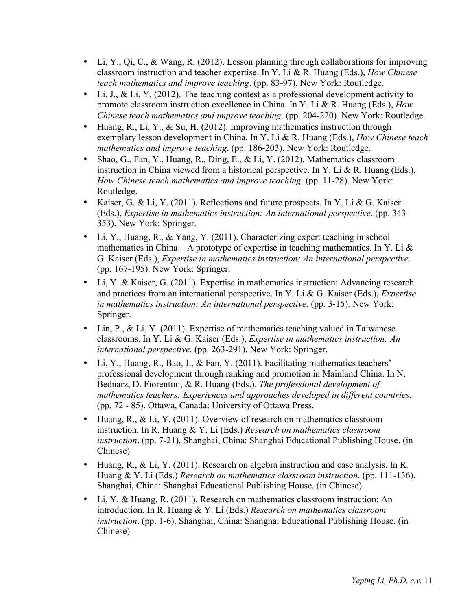- Li, Y., Qi, C., & Wang, R. (2012). Lesson planning through collaborations for improving classroom instruction and teacher expertise. In Y. Li & R. Huang (Eds.), *How Chinese teach mathematics and improve teaching*. (pp. 83-97). New York: Routledge.
- Li, J., & Li, Y. (2012). The teaching contest as a professional development activity to promote classroom instruction excellence in China. In Y. Li & R. Huang (Eds.), *How Chinese teach mathematics and improve teaching*. (pp. 204-220). New York: Routledge.
- Huang, R., Li, Y., & Su, H. (2012). Improving mathematics instruction through exemplary lesson development in China. In Y. Li & R. Huang (Eds.), *How Chinese teach mathematics and improve teaching*. (pp. 186-203). New York: Routledge.
- Shao, G., Fan, Y., Huang, R., Ding, E., & Li, Y. (2012). Mathematics classroom instruction in China viewed from a historical perspective. In Y. Li & R. Huang (Eds.), *How Chinese teach mathematics and improve teaching*. (pp. 11-28). New York: Routledge.
- Kaiser, G. & Li, Y. (2011). Reflections and future prospects. In Y. Li & G. Kaiser (Eds.), *Expertise in mathematics instruction: An international perspective*. (pp. 343- 353). New York: Springer.
- Li, Y., Huang, R., & Yang, Y. (2011). Characterizing expert teaching in school mathematics in China – A prototype of expertise in teaching mathematics. In Y. Li  $\&$ G. Kaiser (Eds.), *Expertise in mathematics instruction: An international perspective*. (pp. 167-195). New York: Springer.
- Li, Y. & Kaiser, G. (2011). Expertise in mathematics instruction: Advancing research and practices from an international perspective. In Y. Li & G. Kaiser (Eds.), *Expertise in mathematics instruction: An international perspective*. (pp. 3-15). New York: Springer.
- Lin,  $P_{11}$ , & Li, Y. (2011). Expertise of mathematics teaching valued in Taiwanese classrooms. In Y. Li & G. Kaiser (Eds.), *Expertise in mathematics instruction: An international perspective*. (pp. 263-291). New York: Springer.
- Li, Y., Huang, R., Bao, J., & Fan, Y. (2011). Facilitating mathematics teachers' professional development through ranking and promotion in Mainland China. In N. Bednarz, D. Fiorentini, & R. Huang (Eds.). *The professional development of mathematics teachers: Experiences and approaches developed in different countries*. (pp. 72 - 85). Ottawa, Canada: University of Ottawa Press.
- Huang, R., & Li, Y. (2011). Overview of research on mathematics classroom instruction. In R. Huang & Y. Li (Eds.) *Research on mathematics classroom instruction*. (pp. 7-21). Shanghai, China: Shanghai Educational Publishing House. (in Chinese)
- Huang, R., & Li, Y. (2011). Research on algebra instruction and case analysis. In R. Huang & Y. Li (Eds.) *Research on mathematics classroom instruction*. (pp. 111-136). Shanghai, China: Shanghai Educational Publishing House. (in Chinese)
- Li, Y. & Huang, R. (2011). Research on mathematics classroom instruction: An introduction. In R. Huang & Y. Li (Eds.) *Research on mathematics classroom instruction*. (pp. 1-6). Shanghai, China: Shanghai Educational Publishing House. (in Chinese)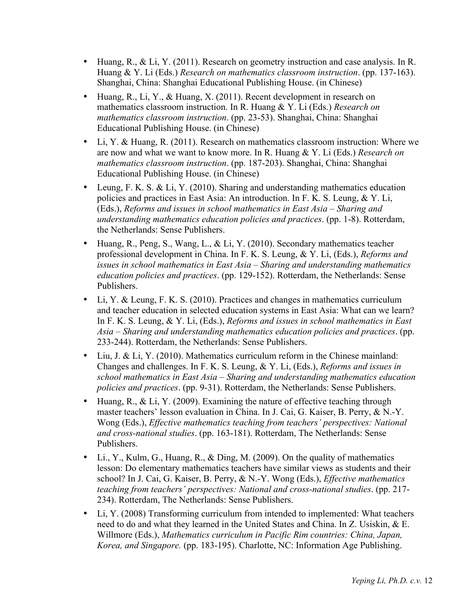- Huang, R., & Li, Y. (2011). Research on geometry instruction and case analysis. In R. Huang & Y. Li (Eds.) *Research on mathematics classroom instruction*. (pp. 137-163). Shanghai, China: Shanghai Educational Publishing House. (in Chinese)
- Huang, R., Li, Y., & Huang, X. (2011). Recent development in research on mathematics classroom instruction. In R. Huang & Y. Li (Eds.) *Research on mathematics classroom instruction*. (pp. 23-53). Shanghai, China: Shanghai Educational Publishing House. (in Chinese)
- Li, Y. & Huang, R. (2011). Research on mathematics classroom instruction: Where we are now and what we want to know more. In R. Huang & Y. Li (Eds.) *Research on mathematics classroom instruction*. (pp. 187-203). Shanghai, China: Shanghai Educational Publishing House. (in Chinese)
- Leung, F. K. S. & Li, Y. (2010). Sharing and understanding mathematics education policies and practices in East Asia: An introduction. In F. K. S. Leung, & Y. Li, (Eds.), *Reforms and issues in school mathematics in East Asia – Sharing and understanding mathematics education policies and practices*. (pp. 1-8). Rotterdam, the Netherlands: Sense Publishers.
- Huang, R., Peng, S., Wang, L., & Li, Y. (2010). Secondary mathematics teacher professional development in China. In F. K. S. Leung, & Y. Li, (Eds.), *Reforms and issues in school mathematics in East Asia – Sharing and understanding mathematics education policies and practices*. (pp. 129-152). Rotterdam, the Netherlands: Sense Publishers.
- Li, Y. & Leung, F. K. S. (2010). Practices and changes in mathematics curriculum and teacher education in selected education systems in East Asia: What can we learn? In F. K. S. Leung, & Y. Li, (Eds.), *Reforms and issues in school mathematics in East Asia – Sharing and understanding mathematics education policies and practices*. (pp. 233-244). Rotterdam, the Netherlands: Sense Publishers.
- Liu, J. & Li, Y. (2010). Mathematics curriculum reform in the Chinese mainland: Changes and challenges. In F. K. S. Leung, & Y. Li, (Eds.), *Reforms and issues in school mathematics in East Asia – Sharing and understanding mathematics education policies and practices*. (pp. 9-31). Rotterdam, the Netherlands: Sense Publishers.
- Huang, R., & Li, Y. (2009). Examining the nature of effective teaching through master teachers' lesson evaluation in China. In J. Cai, G. Kaiser, B. Perry, & N.-Y. Wong (Eds.), *Effective mathematics teaching from teachers' perspectives: National and cross-national studies*. (pp. 163-181). Rotterdam, The Netherlands: Sense Publishers.
- Li., Y., Kulm, G., Huang, R., & Ding, M. (2009). On the quality of mathematics lesson: Do elementary mathematics teachers have similar views as students and their school? In J. Cai, G. Kaiser, B. Perry, & N.-Y. Wong (Eds.), *Effective mathematics teaching from teachers' perspectives: National and cross-national studies*. (pp. 217- 234). Rotterdam, The Netherlands: Sense Publishers.
- Li, Y. (2008) Transforming curriculum from intended to implemented: What teachers need to do and what they learned in the United States and China. In Z. Usiskin, & E. Willmore (Eds.), *Mathematics curriculum in Pacific Rim countries: China, Japan, Korea, and Singapore.* (pp. 183-195). Charlotte, NC: Information Age Publishing.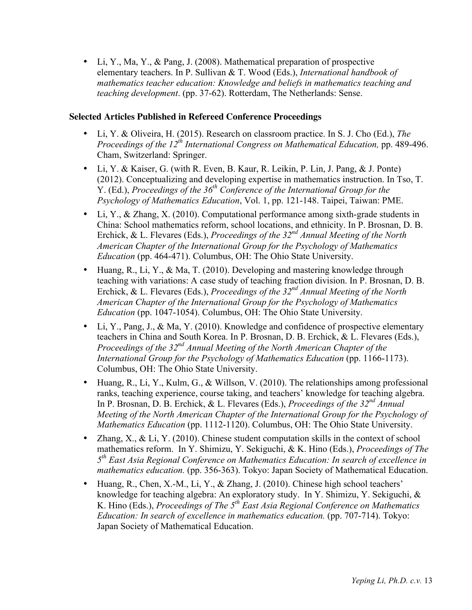• Li, Y., Ma, Y., & Pang, J. (2008). Mathematical preparation of prospective elementary teachers. In P. Sullivan & T. Wood (Eds.), *International handbook of mathematics teacher education: Knowledge and beliefs in mathematics teaching and teaching development*. (pp. 37-62). Rotterdam, The Netherlands: Sense.

# **Selected Articles Published in Refereed Conference Proceedings**

- Li, Y. & Oliveira, H. (2015). Research on classroom practice. In S. J. Cho (Ed.), *The Proceedings of the 12th International Congress on Mathematical Education,* pp. 489-496. Cham, Switzerland: Springer.
- Li, Y. & Kaiser, G. (with R. Even, B. Kaur, R. Leikin, P. Lin, J. Pang, & J. Ponte) (2012). Conceptualizing and developing expertise in mathematics instruction. In Tso, T. Y. (Ed.), *Proceedings of the 36th Conference of the International Group for the Psychology of Mathematics Education*, Vol. 1, pp. 121-148. Taipei, Taiwan: PME.
- Li, Y., & Zhang, X. (2010). Computational performance among sixth-grade students in China: School mathematics reform, school locations, and ethnicity. In P. Brosnan, D. B. Erchick, & L. Flevares (Eds.), *Proceedings of the 32nd Annual Meeting of the North American Chapter of the International Group for the Psychology of Mathematics Education* (pp. 464-471). Columbus, OH: The Ohio State University.
- Huang, R., Li, Y., & Ma, T. (2010). Developing and mastering knowledge through teaching with variations: A case study of teaching fraction division. In P. Brosnan, D. B. Erchick, & L. Flevares (Eds.), *Proceedings of the 32nd Annual Meeting of the North American Chapter of the International Group for the Psychology of Mathematics Education* (pp. 1047-1054). Columbus, OH: The Ohio State University.
- Li, Y., Pang, J., & Ma, Y. (2010). Knowledge and confidence of prospective elementary teachers in China and South Korea. In P. Brosnan, D. B. Erchick, & L. Flevares (Eds.), *Proceedings of the 32nd Annual Meeting of the North American Chapter of the International Group for the Psychology of Mathematics Education* (pp. 1166-1173). Columbus, OH: The Ohio State University.
- Huang, R., Li, Y., Kulm, G., & Willson, V. (2010). The relationships among professional ranks, teaching experience, course taking, and teachers' knowledge for teaching algebra. In P. Brosnan, D. B. Erchick, & L. Flevares (Eds.), *Proceedings of the 32nd Annual Meeting of the North American Chapter of the International Group for the Psychology of Mathematics Education* (pp. 1112-1120). Columbus, OH: The Ohio State University.
- Zhang, X., & Li, Y. (2010). Chinese student computation skills in the context of school mathematics reform. In Y. Shimizu, Y. Sekiguchi, & K. Hino (Eds.), *Proceedings of The 5th East Asia Regional Conference on Mathematics Education: In search of excellence in mathematics education.* (pp. 356-363). Tokyo: Japan Society of Mathematical Education.
- Huang, R., Chen, X.-M., Li, Y., & Zhang, J. (2010). Chinese high school teachers' knowledge for teaching algebra: An exploratory study. In Y. Shimizu, Y. Sekiguchi, & K. Hino (Eds.), *Proceedings of The 5th East Asia Regional Conference on Mathematics Education: In search of excellence in mathematics education.* (pp. 707-714). Tokyo: Japan Society of Mathematical Education.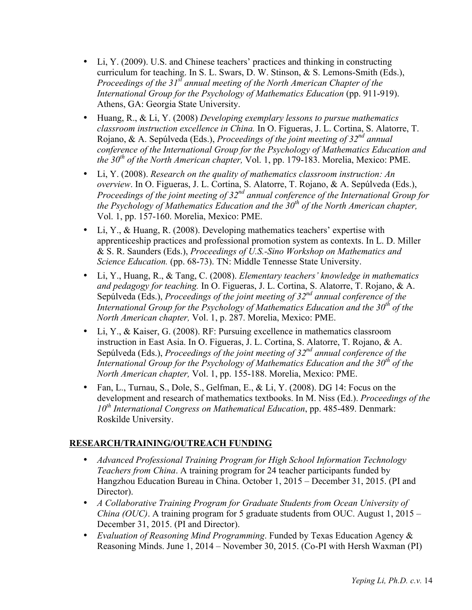- Li, Y. (2009). U.S. and Chinese teachers' practices and thinking in constructing curriculum for teaching. In S. L. Swars, D. W. Stinson, & S. Lemons-Smith (Eds.), *Proceedings of the 31st annual meeting of the North American Chapter of the International Group for the Psychology of Mathematics Education* (pp. 911-919). Athens, GA: Georgia State University.
- Huang, R., & Li, Y. (2008) *Developing exemplary lessons to pursue mathematics classroom instruction excellence in China.* In O. Figueras, J. L. Cortina, S. Alatorre, T. Rojano, & A. Sepúlveda (Eds.), *Proceedings of the joint meeting of 32nd annual conference of the International Group for the Psychology of Mathematics Education and the 30th of the North American chapter,* Vol. 1, pp. 179-183. Morelia, Mexico: PME.
- Li, Y. (2008). *Research on the quality of mathematics classroom instruction: An overview*. In O. Figueras, J. L. Cortina, S. Alatorre, T. Rojano, & A. Sepúlveda (Eds.), *Proceedings of the joint meeting of 32nd annual conference of the International Group for the Psychology of Mathematics Education and the 30th of the North American chapter,*  Vol. 1, pp. 157-160. Morelia, Mexico: PME.
- Li, Y., & Huang, R. (2008). Developing mathematics teachers' expertise with apprenticeship practices and professional promotion system as contexts. In L. D. Miller & S. R. Saunders (Eds.), *Proceedings of U.S.-Sino Workshop on Mathematics and Science Education.* (pp. 68-73). TN: Middle Tennesse State University.
- Li, Y., Huang, R., & Tang, C. (2008). *Elementary teachers' knowledge in mathematics and pedagogy for teaching.* In O. Figueras, J. L. Cortina, S. Alatorre, T. Rojano, & A. Sepúlveda (Eds.), *Proceedings of the joint meeting of 32nd annual conference of the International Group for the Psychology of Mathematics Education and the 30th of the North American chapter,* Vol. 1, p. 287. Morelia, Mexico: PME.
- Li, Y., & Kaiser, G. (2008). RF: Pursuing excellence in mathematics classroom instruction in East Asia. In O. Figueras, J. L. Cortina, S. Alatorre, T. Rojano, & A. Sepúlveda (Eds.), *Proceedings of the joint meeting of 32nd annual conference of the International Group for the Psychology of Mathematics Education and the 30th of the North American chapter,* Vol. 1, pp. 155-188. Morelia, Mexico: PME.
- Fan, L., Turnau, S., Dole, S., Gelfman, E., & Li, Y. (2008). DG 14: Focus on the development and research of mathematics textbooks. In M. Niss (Ed.). *Proceedings of the 10th International Congress on Mathematical Education*, pp. 485-489. Denmark: Roskilde University.

# **RESEARCH/TRAINING/OUTREACH FUNDING**

- *Advanced Professional Training Program for High School Information Technology Teachers from China*. A training program for 24 teacher participants funded by Hangzhou Education Bureau in China. October 1, 2015 – December 31, 2015. (PI and Director).
- *A Collaborative Training Program for Graduate Students from Ocean University of China (OUC)*. A training program for 5 graduate students from OUC. August 1, 2015 – December 31, 2015. (PI and Director).
- *Evaluation of Reasoning Mind Programming*. Funded by Texas Education Agency & Reasoning Minds. June 1, 2014 – November 30, 2015. (Co-PI with Hersh Waxman (PI)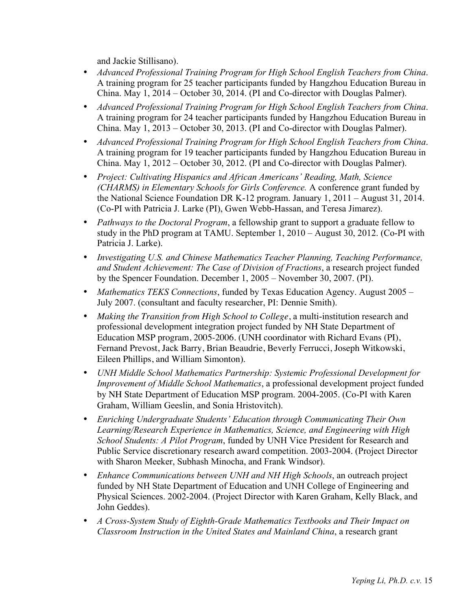and Jackie Stillisano).

- *Advanced Professional Training Program for High School English Teachers from China*. A training program for 25 teacher participants funded by Hangzhou Education Bureau in China. May 1, 2014 – October 30, 2014. (PI and Co-director with Douglas Palmer).
- *Advanced Professional Training Program for High School English Teachers from China*. A training program for 24 teacher participants funded by Hangzhou Education Bureau in China. May 1, 2013 – October 30, 2013. (PI and Co-director with Douglas Palmer).
- *Advanced Professional Training Program for High School English Teachers from China*. A training program for 19 teacher participants funded by Hangzhou Education Bureau in China. May 1, 2012 – October 30, 2012. (PI and Co-director with Douglas Palmer).
- *Project: Cultivating Hispanics and African Americans' Reading, Math, Science (CHARMS) in Elementary Schools for Girls Conference.* A conference grant funded by the National Science Foundation DR K-12 program. January 1, 2011 – August 31, 2014. (Co-PI with Patricia J. Larke (PI), Gwen Webb-Hassan, and Teresa Jimarez).
- *Pathways to the Doctoral Program*, a fellowship grant to support a graduate fellow to study in the PhD program at TAMU. September 1, 2010 – August 30, 2012. (Co-PI with Patricia J. Larke).
- *Investigating U.S. and Chinese Mathematics Teacher Planning, Teaching Performance, and Student Achievement: The Case of Division of Fractions*, a research project funded by the Spencer Foundation. December 1, 2005 – November 30, 2007. (PI).
- *Mathematics TEKS Connections*, funded by Texas Education Agency. August 2005 July 2007. (consultant and faculty researcher, PI: Dennie Smith).
- *Making the Transition from High School to College*, a multi-institution research and professional development integration project funded by NH State Department of Education MSP program, 2005-2006. (UNH coordinator with Richard Evans (PI), Fernand Prevost, Jack Barry, Brian Beaudrie, Beverly Ferrucci, Joseph Witkowski, Eileen Phillips, and William Simonton).
- *UNH Middle School Mathematics Partnership: Systemic Professional Development for Improvement of Middle School Mathematics*, a professional development project funded by NH State Department of Education MSP program. 2004-2005. (Co-PI with Karen Graham, William Geeslin, and Sonia Hristovitch).
- *Enriching Undergraduate Students' Education through Communicating Their Own Learning/Research Experience in Mathematics, Science, and Engineering with High School Students: A Pilot Program*, funded by UNH Vice President for Research and Public Service discretionary research award competition. 2003-2004. (Project Director with Sharon Meeker, Subhash Minocha, and Frank Windsor).
- *Enhance Communications between UNH and NH High Schools*, an outreach project funded by NH State Department of Education and UNH College of Engineering and Physical Sciences. 2002-2004. (Project Director with Karen Graham, Kelly Black, and John Geddes).
- *A Cross-System Study of Eighth-Grade Mathematics Textbooks and Their Impact on Classroom Instruction in the United States and Mainland China*, a research grant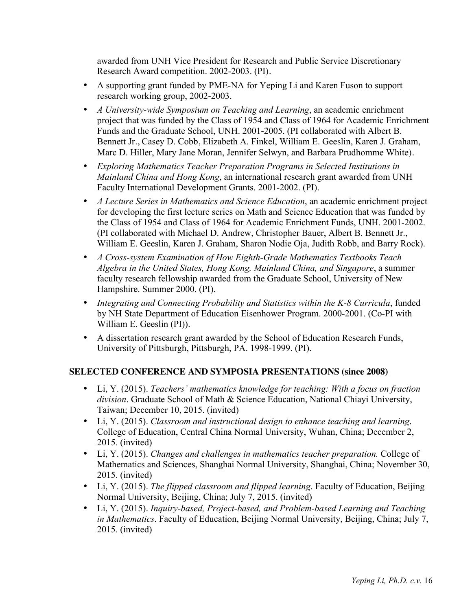awarded from UNH Vice President for Research and Public Service Discretionary Research Award competition. 2002-2003. (PI).

- A supporting grant funded by PME-NA for Yeping Li and Karen Fuson to support research working group, 2002-2003.
- *A University-wide Symposium on Teaching and Learning*, an academic enrichment project that was funded by the Class of 1954 and Class of 1964 for Academic Enrichment Funds and the Graduate School, UNH. 2001-2005. (PI collaborated with Albert B. Bennett Jr., Casey D. Cobb, Elizabeth A. Finkel, William E. Geeslin, Karen J. Graham, Marc D. Hiller, Mary Jane Moran, Jennifer Selwyn, and Barbara Prudhomme White).
- *Exploring Mathematics Teacher Preparation Programs in Selected Institutions in Mainland China and Hong Kong*, an international research grant awarded from UNH Faculty International Development Grants. 2001-2002. (PI).
- *A Lecture Series in Mathematics and Science Education*, an academic enrichment project for developing the first lecture series on Math and Science Education that was funded by the Class of 1954 and Class of 1964 for Academic Enrichment Funds, UNH. 2001-2002. (PI collaborated with Michael D. Andrew, Christopher Bauer, Albert B. Bennett Jr., William E. Geeslin, Karen J. Graham, Sharon Nodie Oja, Judith Robb, and Barry Rock).
- *A Cross-system Examination of How Eighth-Grade Mathematics Textbooks Teach Algebra in the United States, Hong Kong, Mainland China, and Singapore*, a summer faculty research fellowship awarded from the Graduate School, University of New Hampshire. Summer 2000. (PI).
- *Integrating and Connecting Probability and Statistics within the K-8 Curricula*, funded by NH State Department of Education Eisenhower Program. 2000-2001. (Co-PI with William E. Geeslin (PI)).
- A dissertation research grant awarded by the School of Education Research Funds, University of Pittsburgh, Pittsburgh, PA. 1998-1999. (PI).

# **SELECTED CONFERENCE AND SYMPOSIA PRESENTATIONS (since 2008)**

- Li, Y. (2015). *Teachers' mathematics knowledge for teaching: With a focus on fraction division*. Graduate School of Math & Science Education, National Chiayi University, Taiwan; December 10, 2015. (invited)
- Li, Y. (2015). *Classroom and instructional design to enhance teaching and learning*. College of Education, Central China Normal University, Wuhan, China; December 2, 2015. (invited)
- Li, Y. (2015). *Changes and challenges in mathematics teacher preparation.* College of Mathematics and Sciences, Shanghai Normal University, Shanghai, China; November 30, 2015. (invited)
- Li, Y. (2015). *The flipped classroom and flipped learning*. Faculty of Education, Beijing Normal University, Beijing, China; July 7, 2015. (invited)
- Li, Y. (2015). *Inquiry-based, Project-based, and Problem-based Learning and Teaching in Mathematics*. Faculty of Education, Beijing Normal University, Beijing, China; July 7, 2015. (invited)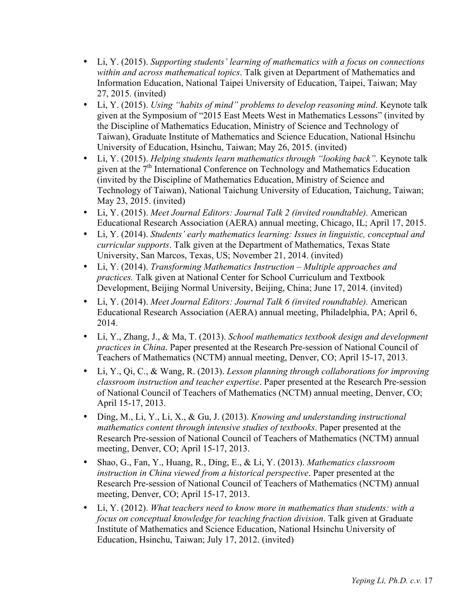- Li, Y. (2015). *Supporting students' learning of mathematics with a focus on connections within and across mathematical topics*. Talk given at Department of Mathematics and Information Education, National Taipei University of Education, Taipei, Taiwan; May 27, 2015. (invited)
- Li, Y. (2015). *Using "habits of mind" problems to develop reasoning mind*. Keynote talk given at the Symposium of "2015 East Meets West in Mathematics Lessons" (invited by the Discipline of Mathematics Education, Ministry of Science and Technology of Taiwan), Graduate Institute of Mathematics and Science Education, National Hsinchu University of Education, Hsinchu, Taiwan; May 26, 2015. (invited)
- Li, Y. (2015). *Helping students learn mathematics through "looking back"*. Keynote talk given at the 7<sup>th</sup> International Conference on Technology and Mathematics Education (invited by the Discipline of Mathematics Education, Ministry of Science and Technology of Taiwan), National Taichung University of Education, Taichung, Taiwan; May 23, 2015. (invited)
- Li, Y. (2015). *Meet Journal Editors: Journal Talk 2 (invited roundtable).* American Educational Research Association (AERA) annual meeting, Chicago, IL; April 17, 2015.
- Li, Y. (2014). *Students' early mathematics learning: Issues in linguistic, conceptual and curricular supports*. Talk given at the Department of Mathematics, Texas State University, San Marcos, Texas, US; November 21, 2014. (invited)
- Li, Y. (2014). *Transforming Mathematics Instruction – Multiple approaches and practices.* Talk given at National Center for School Curriculum and Textbook Development, Beijing Normal University, Beijing, China; June 17, 2014. (invited)
- Li, Y. (2014). *Meet Journal Editors: Journal Talk 6 (invited roundtable).* American Educational Research Association (AERA) annual meeting, Philadelphia, PA; April 6, 2014.
- Li, Y., Zhang, J., & Ma, T. (2013). *School mathematics textbook design and development practices in China*. Paper presented at the Research Pre-session of National Council of Teachers of Mathematics (NCTM) annual meeting, Denver, CO; April 15-17, 2013.
- Li, Y., Qi, C., & Wang, R. (2013). *Lesson planning through collaborations for improving classroom instruction and teacher expertise*. Paper presented at the Research Pre-session of National Council of Teachers of Mathematics (NCTM) annual meeting, Denver, CO; April 15-17, 2013.
- Ding, M., Li, Y., Li, X., & Gu, J. (2013). *Knowing and understanding instructional mathematics content through intensive studies of textbooks*. Paper presented at the Research Pre-session of National Council of Teachers of Mathematics (NCTM) annual meeting, Denver, CO; April 15-17, 2013.
- Shao, G., Fan, Y., Huang, R., Ding, E., & Li, Y. (2013). *Mathematics classroom instruction in China viewed from a historical perspective*. Paper presented at the Research Pre-session of National Council of Teachers of Mathematics (NCTM) annual meeting, Denver, CO; April 15-17, 2013.
- Li, Y. (2012). *What teachers need to know more in mathematics than students: with a focus on conceptual knowledge for teaching fraction division*. Talk given at Graduate Institute of Mathematics and Science Education, National Hsinchu University of Education, Hsinchu, Taiwan; July 17, 2012. (invited)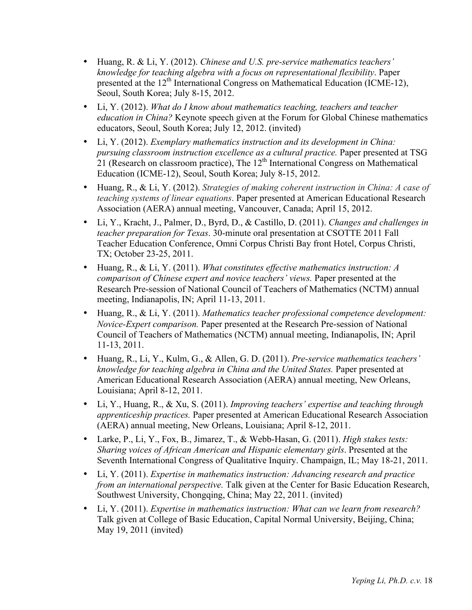- Huang, R. & Li, Y. (2012). *Chinese and U.S. pre-service mathematics teachers' knowledge for teaching algebra with a focus on representational flexibility*. Paper presented at the  $12<sup>th</sup>$  International Congress on Mathematical Education (ICME-12), Seoul, South Korea; July 8-15, 2012.
- Li, Y. (2012). *What do I know about mathematics teaching, teachers and teacher education in China?* Keynote speech given at the Forum for Global Chinese mathematics educators, Seoul, South Korea; July 12, 2012. (invited)
- Li, Y. (2012). *Exemplary mathematics instruction and its development in China: pursuing classroom instruction excellence as a cultural practice.* Paper presented at TSG 21 (Research on classroom practice), The 12<sup>th</sup> International Congress on Mathematical Education (ICME-12), Seoul, South Korea; July 8-15, 2012.
- Huang, R., & Li, Y. (2012). *Strategies of making coherent instruction in China: A case of teaching systems of linear equations*. Paper presented at American Educational Research Association (AERA) annual meeting, Vancouver, Canada; April 15, 2012.
- Li, Y., Kracht, J., Palmer, D., Byrd, D., & Castillo, D. (2011). *Changes and challenges in teacher preparation for Texas*. 30-minute oral presentation at CSOTTE 2011 Fall Teacher Education Conference, Omni Corpus Christi Bay front Hotel, Corpus Christi, TX; October 23-25, 2011.
- Huang, R., & Li, Y. (2011). *What constitutes effective mathematics instruction: A comparison of Chinese expert and novice teachers' views.* Paper presented at the Research Pre-session of National Council of Teachers of Mathematics (NCTM) annual meeting, Indianapolis, IN; April 11-13, 2011.
- Huang, R., & Li, Y. (2011). *Mathematics teacher professional competence development: Novice-Expert comparison.* Paper presented at the Research Pre-session of National Council of Teachers of Mathematics (NCTM) annual meeting, Indianapolis, IN; April 11-13, 2011.
- Huang, R., Li, Y., Kulm, G., & Allen, G. D. (2011). *Pre-service mathematics teachers' knowledge for teaching algebra in China and the United States.* Paper presented at American Educational Research Association (AERA) annual meeting, New Orleans, Louisiana; April 8-12, 2011.
- Li, Y., Huang, R., & Xu, S. (2011). *Improving teachers' expertise and teaching through apprenticeship practices.* Paper presented at American Educational Research Association (AERA) annual meeting, New Orleans, Louisiana; April 8-12, 2011.
- Larke, P., Li, Y., Fox, B., Jimarez, T., & Webb-Hasan, G. (2011). *High stakes tests: Sharing voices of African American and Hispanic elementary girls*. Presented at the Seventh International Congress of Qualitative Inquiry. Champaign, IL; May 18-21, 2011.
- Li, Y. (2011). *Expertise in mathematics instruction: Advancing research and practice from an international perspective.* Talk given at the Center for Basic Education Research, Southwest University, Chongqing, China; May 22, 2011. (invited)
- Li, Y. (2011). *Expertise in mathematics instruction: What can we learn from research?* Talk given at College of Basic Education, Capital Normal University, Beijing, China; May 19, 2011 (invited)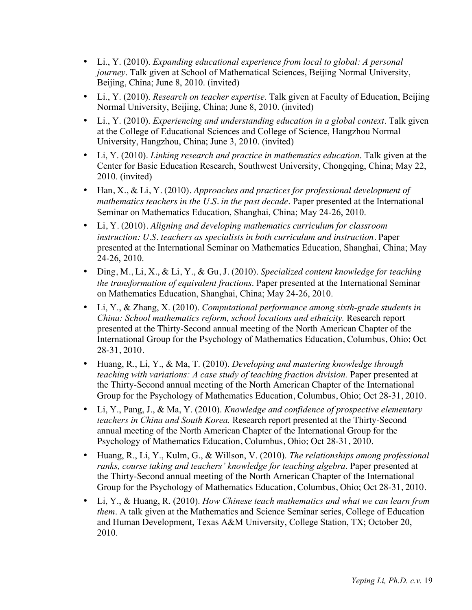- Li., Y. (2010). *Expanding educational experience from local to global: A personal journey*. Talk given at School of Mathematical Sciences, Beijing Normal University, Beijing, China; June 8, 2010. (invited)
- Li., Y. (2010). *Research on teacher expertise*. Talk given at Faculty of Education, Beijing Normal University, Beijing, China; June 8, 2010. (invited)
- Li., Y. (2010). *Experiencing and understanding education in a global context*. Talk given at the College of Educational Sciences and College of Science, Hangzhou Normal University, Hangzhou, China; June 3, 2010. (invited)
- Li, Y. (2010). *Linking research and practice in mathematics education*. Talk given at the Center for Basic Education Research, Southwest University, Chongqing, China; May 22, 2010. (invited)
- Han, X., & Li, Y. (2010). *Approaches and practices for professional development of mathematics teachers in the U.S. in the past decade*. Paper presented at the International Seminar on Mathematics Education, Shanghai, China; May 24-26, 2010.
- Li, Y. (2010). *Aligning and developing mathematics curriculum for classroom instruction: U.S. teachers as specialists in both curriculum and instruction*. Paper presented at the International Seminar on Mathematics Education, Shanghai, China; May 24-26, 2010.
- Ding, M., Li, X., & Li, Y., & Gu, J. (2010). *Specialized content knowledge for teaching the transformation of equivalent fractions*. Paper presented at the International Seminar on Mathematics Education, Shanghai, China; May 24-26, 2010.
- Li, Y., & Zhang, X. (2010). *Computational performance among sixth-grade students in China: School mathematics reform, school locations and ethnicity.* Research report presented at the Thirty-Second annual meeting of the North American Chapter of the International Group for the Psychology of Mathematics Education, Columbus, Ohio; Oct 28-31, 2010.
- Huang, R., Li, Y., & Ma, T. (2010). *Developing and mastering knowledge through teaching with variations: A case study of teaching fraction division. Paper presented at* the Thirty-Second annual meeting of the North American Chapter of the International Group for the Psychology of Mathematics Education, Columbus, Ohio; Oct 28-31, 2010.
- Li, Y., Pang, J., & Ma, Y. (2010). *Knowledge and confidence of prospective elementary teachers in China and South Korea.* Research report presented at the Thirty-Second annual meeting of the North American Chapter of the International Group for the Psychology of Mathematics Education, Columbus, Ohio; Oct 28-31, 2010.
- Huang, R., Li, Y., Kulm, G., & Willson, V. (2010). *The relationships among professional ranks, course taking and teachers' knowledge for teaching algebra*. Paper presented at the Thirty-Second annual meeting of the North American Chapter of the International Group for the Psychology of Mathematics Education, Columbus, Ohio; Oct 28-31, 2010.
- Li, Y., & Huang, R. (2010). *How Chinese teach mathematics and what we can learn from them*. A talk given at the Mathematics and Science Seminar series, College of Education and Human Development, Texas A&M University, College Station, TX; October 20, 2010.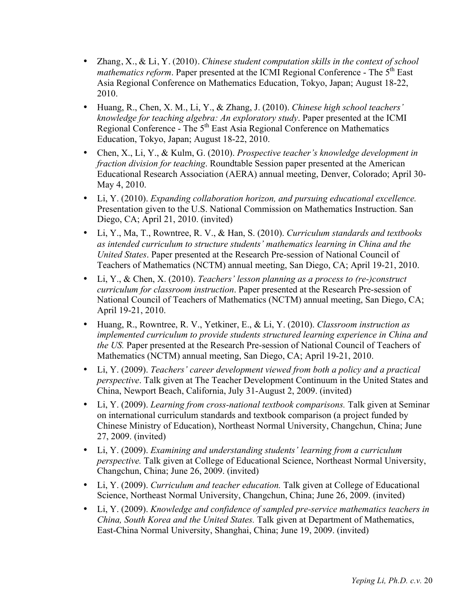- Zhang, X., & Li, Y. (2010). *Chinese student computation skills in the context of school mathematics reform*. Paper presented at the ICMI Regional Conference - The 5<sup>th</sup> East Asia Regional Conference on Mathematics Education, Tokyo, Japan; August 18-22, 2010.
- Huang, R., Chen, X. M., Li, Y., & Zhang, J. (2010). *Chinese high school teachers' knowledge for teaching algebra: An exploratory study*. Paper presented at the ICMI Regional Conference - The 5<sup>th</sup> East Asia Regional Conference on Mathematics Education, Tokyo, Japan; August 18-22, 2010.
- Chen, X., Li, Y., & Kulm, G. (2010). *Prospective teacher's knowledge development in fraction division for teaching*. Roundtable Session paper presented at the American Educational Research Association (AERA) annual meeting, Denver, Colorado; April 30- May 4, 2010.
- Li, Y. (2010). *Expanding collaboration horizon, and pursuing educational excellence.* Presentation given to the U.S. National Commission on Mathematics Instruction. San Diego, CA; April 21, 2010. (invited)
- Li, Y., Ma, T., Rowntree, R. V., & Han, S. (2010). *Curriculum standards and textbooks as intended curriculum to structure students' mathematics learning in China and the United States*. Paper presented at the Research Pre-session of National Council of Teachers of Mathematics (NCTM) annual meeting, San Diego, CA; April 19-21, 2010.
- Li, Y., & Chen, X. (2010). *Teachers' lesson planning as a process to (re-)construct curriculum for classroom instruction*. Paper presented at the Research Pre-session of National Council of Teachers of Mathematics (NCTM) annual meeting, San Diego, CA; April 19-21, 2010.
- Huang, R., Rowntree, R. V., Yetkiner, E., & Li, Y. (2010). *Classroom instruction as implemented curriculum to provide students structured learning experience in China and the US.* Paper presented at the Research Pre-session of National Council of Teachers of Mathematics (NCTM) annual meeting, San Diego, CA; April 19-21, 2010.
- Li, Y. (2009). *Teachers' career development viewed from both a policy and a practical perspective*. Talk given at The Teacher Development Continuum in the United States and China, Newport Beach, California, July 31-August 2, 2009. (invited)
- Li, Y. (2009). *Learning from cross-national textbook comparisons.* Talk given at Seminar on international curriculum standards and textbook comparison (a project funded by Chinese Ministry of Education), Northeast Normal University, Changchun, China; June 27, 2009. (invited)
- Li, Y. (2009). *Examining and understanding students' learning from a curriculum perspective.* Talk given at College of Educational Science, Northeast Normal University, Changchun, China; June 26, 2009. (invited)
- Li, Y. (2009). *Curriculum and teacher education.* Talk given at College of Educational Science, Northeast Normal University, Changchun, China; June 26, 2009. (invited)
- Li, Y. (2009). *Knowledge and confidence of sampled pre-service mathematics teachers in China, South Korea and the United States.* Talk given at Department of Mathematics, East-China Normal University, Shanghai, China; June 19, 2009. (invited)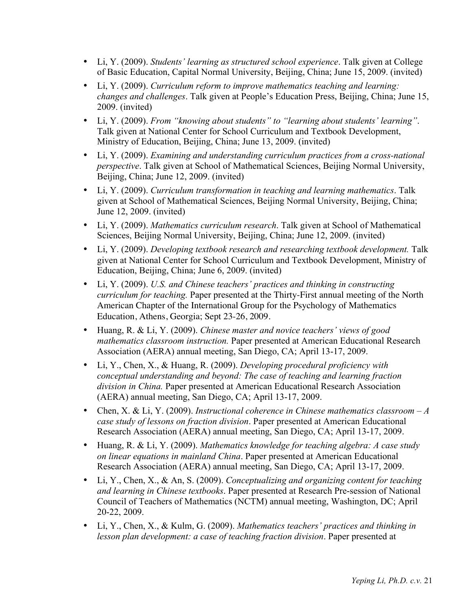- Li, Y. (2009). *Students' learning as structured school experience*. Talk given at College of Basic Education, Capital Normal University, Beijing, China; June 15, 2009. (invited)
- Li, Y. (2009). *Curriculum reform to improve mathematics teaching and learning: changes and challenges*. Talk given at People's Education Press, Beijing, China; June 15, 2009. (invited)
- Li, Y. (2009). *From "knowing about students" to "learning about students' learning"*. Talk given at National Center for School Curriculum and Textbook Development, Ministry of Education, Beijing, China; June 13, 2009. (invited)
- Li, Y. (2009). *Examining and understanding curriculum practices from a cross-national perspective*. Talk given at School of Mathematical Sciences, Beijing Normal University, Beijing, China; June 12, 2009. (invited)
- Li, Y. (2009). *Curriculum transformation in teaching and learning mathematics*. Talk given at School of Mathematical Sciences, Beijing Normal University, Beijing, China; June 12, 2009. (invited)
- Li, Y. (2009). *Mathematics curriculum research*. Talk given at School of Mathematical Sciences, Beijing Normal University, Beijing, China; June 12, 2009. (invited)
- Li, Y. (2009). *Developing textbook research and researching textbook development.* Talk given at National Center for School Curriculum and Textbook Development, Ministry of Education, Beijing, China; June 6, 2009. (invited)
- Li, Y. (2009). *U.S. and Chinese teachers' practices and thinking in constructing curriculum for teaching.* Paper presented at the Thirty-First annual meeting of the North American Chapter of the International Group for the Psychology of Mathematics Education, Athens, Georgia; Sept 23-26, 2009.
- Huang, R. & Li, Y. (2009). *Chinese master and novice teachers' views of good mathematics classroom instruction.* Paper presented at American Educational Research Association (AERA) annual meeting, San Diego, CA; April 13-17, 2009.
- Li, Y., Chen, X., & Huang, R. (2009). *Developing procedural proficiency with conceptual understanding and beyond: The case of teaching and learning fraction division in China.* Paper presented at American Educational Research Association (AERA) annual meeting, San Diego, CA; April 13-17, 2009.
- Chen, X. & Li, Y. (2009). *Instructional coherence in Chinese mathematics classroom – A case study of lessons on fraction division*. Paper presented at American Educational Research Association (AERA) annual meeting, San Diego, CA; April 13-17, 2009.
- Huang, R. & Li, Y. (2009). *Mathematics knowledge for teaching algebra: A case study on linear equations in mainland China*. Paper presented at American Educational Research Association (AERA) annual meeting, San Diego, CA; April 13-17, 2009.
- Li, Y., Chen, X., & An, S. (2009). *Conceptualizing and organizing content for teaching and learning in Chinese textbooks*. Paper presented at Research Pre-session of National Council of Teachers of Mathematics (NCTM) annual meeting, Washington, DC; April 20-22, 2009.
- Li, Y., Chen, X., & Kulm, G. (2009). *Mathematics teachers' practices and thinking in lesson plan development: a case of teaching fraction division*. Paper presented at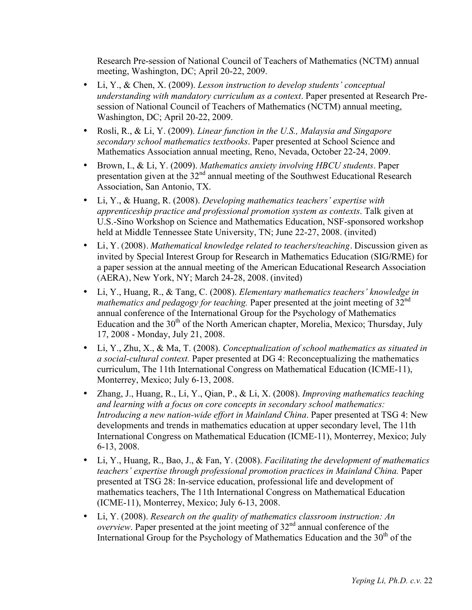Research Pre-session of National Council of Teachers of Mathematics (NCTM) annual meeting, Washington, DC; April 20-22, 2009.

- Li, Y., & Chen, X. (2009). *Lesson instruction to develop students' conceptual understanding with mandatory curriculum as a context*. Paper presented at Research Presession of National Council of Teachers of Mathematics (NCTM) annual meeting, Washington, DC; April 20-22, 2009.
- Rosli, R., & Li, Y. (2009). *Linear function in the U.S., Malaysia and Singapore secondary school mathematics textbooks*. Paper presented at School Science and Mathematics Association annual meeting, Reno, Nevada, October 22-24, 2009.
- Brown, I., & Li, Y. (2009). *Mathematics anxiety involving HBCU students*. Paper presentation given at the  $32<sup>nd</sup>$  annual meeting of the Southwest Educational Research Association, San Antonio, TX.
- Li, Y., & Huang, R. (2008). *Developing mathematics teachers' expertise with apprenticeship practice and professional promotion system as contexts*. Talk given at U.S.-Sino Workshop on Science and Mathematics Education, NSF-sponsored workshop held at Middle Tennessee State University, TN; June 22-27, 2008. (invited)
- Li, Y. (2008). *Mathematical knowledge related to teachers/teaching.* Discussion given as invited by Special Interest Group for Research in Mathematics Education (SIG/RME) for a paper session at the annual meeting of the American Educational Research Association (AERA), New York, NY; March 24-28, 2008. (invited)
- Li, Y., Huang, R., & Tang, C. (2008). *Elementary mathematics teachers' knowledge in mathematics and pedagogy for teaching.* Paper presented at the joint meeting of 32<sup>nd</sup> annual conference of the International Group for the Psychology of Mathematics Education and the  $30<sup>th</sup>$  of the North American chapter, Morelia, Mexico; Thursday, July 17, 2008 - Monday, July 21, 2008.
- Li, Y., Zhu, X., & Ma, T. (2008). *Conceptualization of school mathematics as situated in a social-cultural context.* Paper presented at DG 4: Reconceptualizing the mathematics curriculum, The 11th International Congress on Mathematical Education (ICME-11), Monterrey, Mexico; July 6-13, 2008.
- Zhang, J., Huang, R., Li, Y., Qian, P., & Li, X. (2008). *Improving mathematics teaching and learning with a focus on core concepts in secondary school mathematics: Introducing a new nation-wide effort in Mainland China*. Paper presented at TSG 4: New developments and trends in mathematics education at upper secondary level, The 11th International Congress on Mathematical Education (ICME-11), Monterrey, Mexico; July 6-13, 2008.
- Li, Y., Huang, R., Bao, J., & Fan, Y. (2008). *Facilitating the development of mathematics teachers' expertise through professional promotion practices in Mainland China.* Paper presented at TSG 28: In-service education, professional life and development of mathematics teachers, The 11th International Congress on Mathematical Education (ICME-11), Monterrey, Mexico; July 6-13, 2008.
- Li, Y. (2008). *Research on the quality of mathematics classroom instruction: An overview*. Paper presented at the joint meeting of 32<sup>nd</sup> annual conference of the International Group for the Psychology of Mathematics Education and the  $30<sup>th</sup>$  of the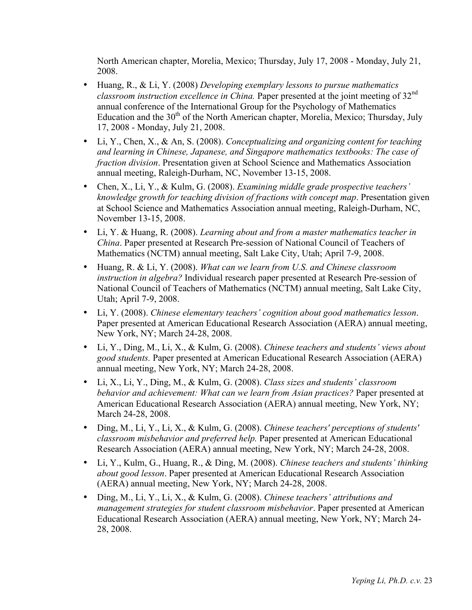North American chapter, Morelia, Mexico; Thursday, July 17, 2008 - Monday, July 21, 2008.

- Huang, R., & Li, Y. (2008) *Developing exemplary lessons to pursue mathematics classroom instruction excellence in China.* Paper presented at the joint meeting of 32nd annual conference of the International Group for the Psychology of Mathematics Education and the  $30<sup>th</sup>$  of the North American chapter, Morelia, Mexico; Thursday, July 17, 2008 - Monday, July 21, 2008.
- Li, Y., Chen, X., & An, S. (2008). *Conceptualizing and organizing content for teaching and learning in Chinese, Japanese, and Singapore mathematics textbooks: The case of fraction division*. Presentation given at School Science and Mathematics Association annual meeting, Raleigh-Durham, NC, November 13-15, 2008.
- Chen, X., Li, Y., & Kulm, G. (2008). *Examining middle grade prospective teachers' knowledge growth for teaching division of fractions with concept map*. Presentation given at School Science and Mathematics Association annual meeting, Raleigh-Durham, NC, November 13-15, 2008.
- Li, Y. & Huang, R. (2008). *Learning about and from a master mathematics teacher in China*. Paper presented at Research Pre-session of National Council of Teachers of Mathematics (NCTM) annual meeting, Salt Lake City, Utah; April 7-9, 2008.
- Huang, R. & Li, Y. (2008). *What can we learn from U.S. and Chinese classroom instruction in algebra?* Individual research paper presented at Research Pre-session of National Council of Teachers of Mathematics (NCTM) annual meeting, Salt Lake City, Utah; April 7-9, 2008.
- Li, Y. (2008). *Chinese elementary teachers' cognition about good mathematics lesson*. Paper presented at American Educational Research Association (AERA) annual meeting, New York, NY; March 24-28, 2008.
- Li, Y., Ding, M., Li, X., & Kulm, G. (2008). *Chinese teachers and students' views about good students.* Paper presented at American Educational Research Association (AERA) annual meeting, New York, NY; March 24-28, 2008.
- Li, X., Li, Y., Ding, M., & Kulm, G. (2008). *Class sizes and students' classroom behavior and achievement: What can we learn from Asian practices?* Paper presented at American Educational Research Association (AERA) annual meeting, New York, NY; March 24-28, 2008.
- Ding, M., Li, Y., Li, X., & Kulm, G. (2008). *Chinese teachers' perceptions of students' classroom misbehavior and preferred help.* Paper presented at American Educational Research Association (AERA) annual meeting, New York, NY; March 24-28, 2008.
- Li, Y., Kulm, G., Huang, R., & Ding, M. (2008). *Chinese teachers and students' thinking about good lesson*. Paper presented at American Educational Research Association (AERA) annual meeting, New York, NY; March 24-28, 2008.
- Ding, M., Li, Y., Li, X., & Kulm, G. (2008). *Chinese teachers' attributions and management strategies for student classroom misbehavior*. Paper presented at American Educational Research Association (AERA) annual meeting, New York, NY; March 24- 28, 2008.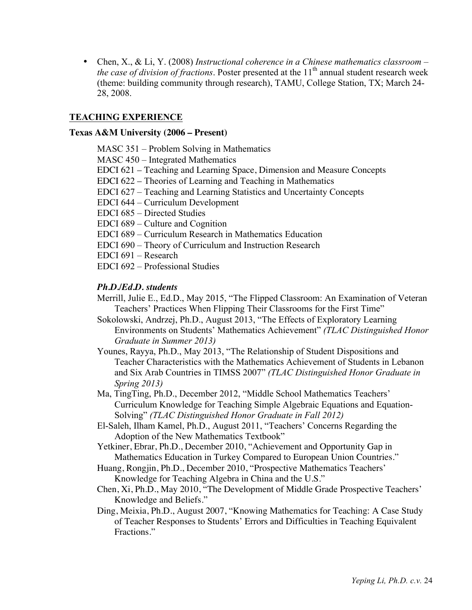• Chen, X., & Li, Y. (2008) *Instructional coherence in a Chinese mathematics classroom – the case of division of fractions.* Poster presented at the 11<sup>th</sup> annual student research week (theme: building community through research), TAMU, College Station, TX; March 24- 28, 2008.

## **TEACHING EXPERIENCE**

#### **Texas A&M University (2006 – Present)**

MASC 351 – Problem Solving in Mathematics

MASC 450 – Integrated Mathematics

- EDCI 621 Teaching and Learning Space, Dimension and Measure Concepts
- EDCI 622 Theories of Learning and Teaching in Mathematics
- EDCI 627 Teaching and Learning Statistics and Uncertainty Concepts
- EDCI 644 Curriculum Development
- EDCI 685 Directed Studies
- EDCI 689 Culture and Cognition
- EDCI 689 Curriculum Research in Mathematics Education
- EDCI 690 Theory of Curriculum and Instruction Research
- EDCI 691 Research
- EDCI 692 Professional Studies

## *Ph.D./Ed.D. students*

- Merrill, Julie E., Ed.D., May 2015, "The Flipped Classroom: An Examination of Veteran Teachers' Practices When Flipping Their Classrooms for the First Time"
- Sokolowski, Andrzej, Ph.D., August 2013, "The Effects of Exploratory Learning Environments on Students' Mathematics Achievement" *(TLAC Distinguished Honor Graduate in Summer 2013)*
- Younes, Rayya, Ph.D., May 2013, "The Relationship of Student Dispositions and Teacher Characteristics with the Mathematics Achievement of Students in Lebanon and Six Arab Countries in TIMSS 2007" *(TLAC Distinguished Honor Graduate in Spring 2013)*
- Ma, TingTing, Ph.D., December 2012, "Middle School Mathematics Teachers' Curriculum Knowledge for Teaching Simple Algebraic Equations and Equation-Solving" *(TLAC Distinguished Honor Graduate in Fall 2012)*
- El-Saleh, Ilham Kamel, Ph.D., August 2011, "Teachers' Concerns Regarding the Adoption of the New Mathematics Textbook"
- Yetkiner, Ebrar, Ph.D., December 2010, "Achievement and Opportunity Gap in Mathematics Education in Turkey Compared to European Union Countries."
- Huang, Rongjin, Ph.D., December 2010, "Prospective Mathematics Teachers' Knowledge for Teaching Algebra in China and the U.S."
- Chen, Xi, Ph.D., May 2010, "The Development of Middle Grade Prospective Teachers' Knowledge and Beliefs."
- Ding, Meixia, Ph.D., August 2007, "Knowing Mathematics for Teaching: A Case Study of Teacher Responses to Students' Errors and Difficulties in Teaching Equivalent Fractions."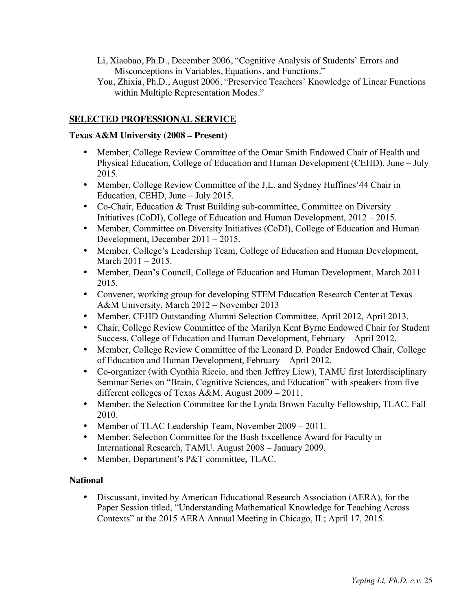- Li, Xiaobao, Ph.D., December 2006, "Cognitive Analysis of Students' Errors and Misconceptions in Variables, Equations, and Functions."
- You, Zhixia, Ph.D., August 2006, "Preservice Teachers' Knowledge of Linear Functions within Multiple Representation Modes."

# **SELECTED PROFESSIONAL SERVICE**

# **Texas A&M University (2008 – Present)**

- Member, College Review Committee of the Omar Smith Endowed Chair of Health and Physical Education, College of Education and Human Development (CEHD), June – July 2015.
- Member, College Review Committee of the J.L. and Sydney Huffines'44 Chair in Education, CEHD, June – July 2015.
- Co-Chair, Education & Trust Building sub-committee, Committee on Diversity Initiatives (CoDI), College of Education and Human Development, 2012 – 2015.
- Member, Committee on Diversity Initiatives (CoDI), College of Education and Human Development, December 2011 – 2015.
- Member, College's Leadership Team, College of Education and Human Development, March 2011 – 2015.
- Member, Dean's Council, College of Education and Human Development, March 2011 2015.
- Convener, working group for developing STEM Education Research Center at Texas A&M University, March 2012 – November 2013
- Member, CEHD Outstanding Alumni Selection Committee, April 2012, April 2013.
- Chair, College Review Committee of the Marilyn Kent Byrne Endowed Chair for Student Success, College of Education and Human Development, February – April 2012.
- Member, College Review Committee of the Leonard D. Ponder Endowed Chair, College of Education and Human Development, February – April 2012.
- Co-organizer (with Cynthia Riccio, and then Jeffrey Liew), TAMU first Interdisciplinary Seminar Series on "Brain, Cognitive Sciences, and Education" with speakers from five different colleges of Texas A&M. August 2009 – 2011.
- Member, the Selection Committee for the Lynda Brown Faculty Fellowship, TLAC. Fall 2010.
- Member of TLAC Leadership Team, November 2009 2011.
- Member, Selection Committee for the Bush Excellence Award for Faculty in International Research, TAMU. August 2008 – January 2009.
- Member, Department's P&T committee, TLAC.

# **National**

• Discussant, invited by American Educational Research Association (AERA), for the Paper Session titled, "Understanding Mathematical Knowledge for Teaching Across Contexts" at the 2015 AERA Annual Meeting in Chicago, IL; April 17, 2015.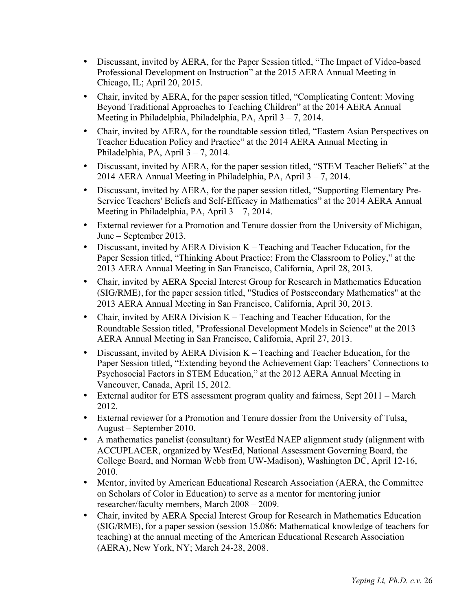- Discussant, invited by AERA, for the Paper Session titled, "The Impact of Video-based Professional Development on Instruction" at the 2015 AERA Annual Meeting in Chicago, IL; April 20, 2015.
- Chair, invited by AERA, for the paper session titled, "Complicating Content: Moving Beyond Traditional Approaches to Teaching Children" at the 2014 AERA Annual Meeting in Philadelphia, Philadelphia, PA, April 3 – 7, 2014.
- Chair, invited by AERA, for the roundtable session titled, "Eastern Asian Perspectives on Teacher Education Policy and Practice" at the 2014 AERA Annual Meeting in Philadelphia, PA, April 3 – 7, 2014.
- Discussant, invited by AERA, for the paper session titled, "STEM Teacher Beliefs" at the 2014 AERA Annual Meeting in Philadelphia, PA, April 3 – 7, 2014.
- Discussant, invited by AERA, for the paper session titled, "Supporting Elementary Pre-Service Teachers' Beliefs and Self-Efficacy in Mathematics" at the 2014 AERA Annual Meeting in Philadelphia, PA, April 3 – 7, 2014.
- External reviewer for a Promotion and Tenure dossier from the University of Michigan, June – September 2013.
- Discussant, invited by AERA Division K Teaching and Teacher Education, for the Paper Session titled, "Thinking About Practice: From the Classroom to Policy," at the 2013 AERA Annual Meeting in San Francisco, California, April 28, 2013.
- Chair, invited by AERA Special Interest Group for Research in Mathematics Education (SIG/RME), for the paper session titled, "Studies of Postsecondary Mathematics" at the 2013 AERA Annual Meeting in San Francisco, California, April 30, 2013.
- Chair, invited by AERA Division K Teaching and Teacher Education, for the Roundtable Session titled, "Professional Development Models in Science" at the 2013 AERA Annual Meeting in San Francisco, California, April 27, 2013.
- Discussant, invited by AERA Division K Teaching and Teacher Education, for the Paper Session titled, "Extending beyond the Achievement Gap: Teachers' Connections to Psychosocial Factors in STEM Education," at the 2012 AERA Annual Meeting in Vancouver, Canada, April 15, 2012.
- External auditor for ETS assessment program quality and fairness, Sept 2011 March 2012.
- External reviewer for a Promotion and Tenure dossier from the University of Tulsa, August – September 2010.
- A mathematics panelist (consultant) for WestEd NAEP alignment study (alignment with ACCUPLACER, organized by WestEd, National Assessment Governing Board, the College Board, and Norman Webb from UW-Madison), Washington DC, April 12-16, 2010.
- Mentor, invited by American Educational Research Association (AERA, the Committee on Scholars of Color in Education) to serve as a mentor for mentoring junior researcher/faculty members, March 2008 – 2009.
- Chair, invited by AERA Special Interest Group for Research in Mathematics Education (SIG/RME), for a paper session (session 15.086: Mathematical knowledge of teachers for teaching) at the annual meeting of the American Educational Research Association (AERA), New York, NY; March 24-28, 2008.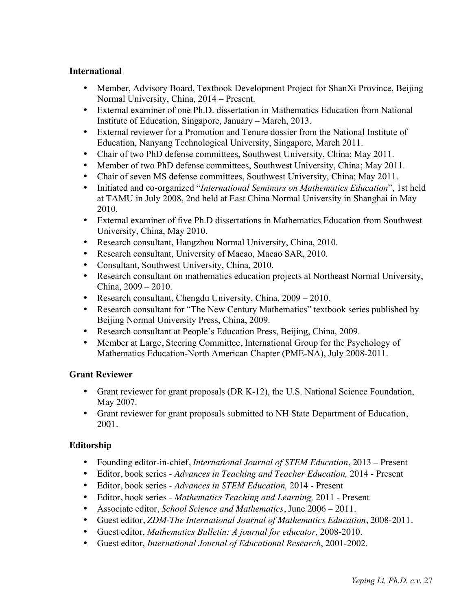# **International**

- Member, Advisory Board, Textbook Development Project for ShanXi Province, Beijing Normal University, China, 2014 – Present.
- External examiner of one Ph.D. dissertation in Mathematics Education from National Institute of Education, Singapore, January – March, 2013.
- External reviewer for a Promotion and Tenure dossier from the National Institute of Education, Nanyang Technological University, Singapore, March 2011.
- Chair of two PhD defense committees, Southwest University, China; May 2011.
- Member of two PhD defense committees, Southwest University, China; May 2011.
- Chair of seven MS defense committees, Southwest University, China; May 2011.
- Initiated and co-organized "*International Seminars on Mathematics Education*", 1st held at TAMU in July 2008, 2nd held at East China Normal University in Shanghai in May 2010.
- External examiner of five Ph.D dissertations in Mathematics Education from Southwest University, China, May 2010.
- Research consultant, Hangzhou Normal University, China, 2010.
- Research consultant, University of Macao, Macao SAR, 2010.
- Consultant, Southwest University, China, 2010.
- Research consultant on mathematics education projects at Northeast Normal University, China, 2009 – 2010.
- Research consultant, Chengdu University, China, 2009 2010.
- Research consultant for "The New Century Mathematics" textbook series published by Beijing Normal University Press, China, 2009.
- Research consultant at People's Education Press, Beijing, China, 2009.
- Member at Large, Steering Committee, International Group for the Psychology of Mathematics Education-North American Chapter (PME-NA), July 2008-2011.

## **Grant Reviewer**

- Grant reviewer for grant proposals (DR K-12), the U.S. National Science Foundation, May 2007.
- Grant reviewer for grant proposals submitted to NH State Department of Education, 2001.

# **Editorship**

- Founding editor-in-chief, *International Journal of STEM Education*, 2013 Present
- Editor, book series *Advances in Teaching and Teacher Education,* 2014 Present
- Editor, book series *Advances in STEM Education,* 2014 Present
- Editor, book series *Mathematics Teaching and Learning,* 2011 Present
- Associate editor, *School Science and Mathematics*, June 2006 2011.
- Guest editor, *ZDM-The International Journal of Mathematics Education*, 2008-2011.
- Guest editor, *Mathematics Bulletin: A journal for educator*, 2008-2010.
- Guest editor, *International Journal of Educational Research*, 2001-2002.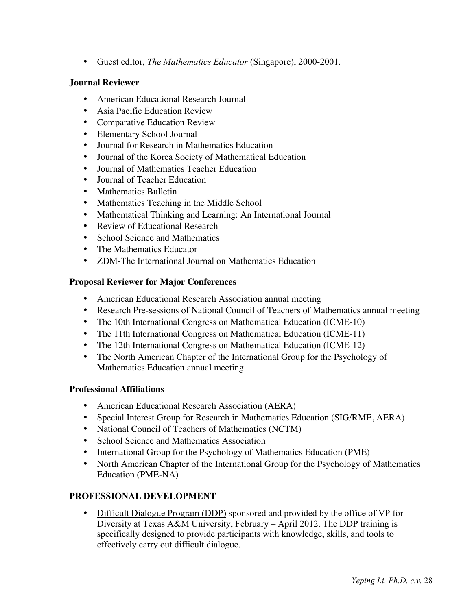• Guest editor, *The Mathematics Educator* (Singapore), 2000-2001.

# **Journal Reviewer**

- American Educational Research Journal
- Asia Pacific Education Review
- Comparative Education Review
- Elementary School Journal
- Journal for Research in Mathematics Education
- Journal of the Korea Society of Mathematical Education
- Journal of Mathematics Teacher Education
- **Iournal of Teacher Education**
- Mathematics Bulletin
- Mathematics Teaching in the Middle School
- Mathematical Thinking and Learning: An International Journal
- Review of Educational Research
- School Science and Mathematics
- The Mathematics Educator
- ZDM-The International Journal on Mathematics Education

# **Proposal Reviewer for Major Conferences**

- American Educational Research Association annual meeting
- Research Pre-sessions of National Council of Teachers of Mathematics annual meeting
- The 10th International Congress on Mathematical Education (ICME-10)
- The 11th International Congress on Mathematical Education (ICME-11)
- The 12th International Congress on Mathematical Education (ICME-12)
- The North American Chapter of the International Group for the Psychology of Mathematics Education annual meeting

## **Professional Affiliations**

- American Educational Research Association (AERA)
- Special Interest Group for Research in Mathematics Education (SIG/RME, AERA)
- National Council of Teachers of Mathematics (NCTM)
- School Science and Mathematics Association
- International Group for the Psychology of Mathematics Education (PME)
- North American Chapter of the International Group for the Psychology of Mathematics Education (PME-NA)

# **PROFESSIONAL DEVELOPMENT**

• Difficult Dialogue Program (DDP) sponsored and provided by the office of VP for Diversity at Texas A&M University, February – April 2012. The DDP training is specifically designed to provide participants with knowledge, skills, and tools to effectively carry out difficult dialogue.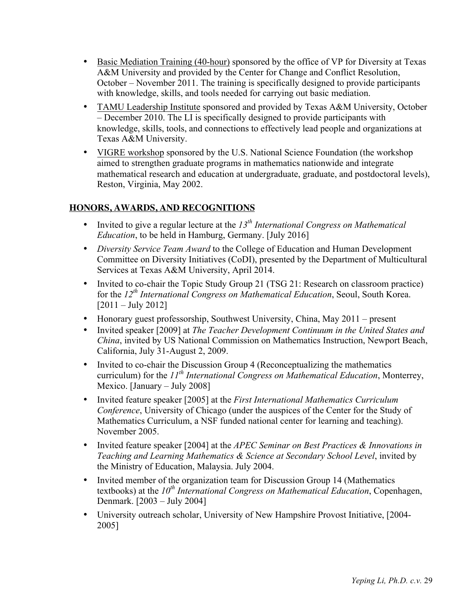- Basic Mediation Training (40-hour) sponsored by the office of VP for Diversity at Texas A&M University and provided by the Center for Change and Conflict Resolution, October – November 2011. The training is specifically designed to provide participants with knowledge, skills, and tools needed for carrying out basic mediation.
- TAMU Leadership Institute sponsored and provided by Texas A&M University, October – December 2010. The LI is specifically designed to provide participants with knowledge, skills, tools, and connections to effectively lead people and organizations at Texas A&M University.
- VIGRE workshop sponsored by the U.S. National Science Foundation (the workshop aimed to strengthen graduate programs in mathematics nationwide and integrate mathematical research and education at undergraduate, graduate, and postdoctoral levels), Reston, Virginia, May 2002.

# **HONORS, AWARDS, AND RECOGNITIONS**

- Invited to give a regular lecture at the 13<sup>th</sup> International Congress on Mathematical *Education*, to be held in Hamburg, Germany. [July 2016]
- *Diversity Service Team Award* to the College of Education and Human Development Committee on Diversity Initiatives (CoDI), presented by the Department of Multicultural Services at Texas A&M University, April 2014.
- Invited to co-chair the Topic Study Group 21 (TSG 21: Research on classroom practice) for the *12th International Congress on Mathematical Education*, Seoul, South Korea. [2011 – July 2012]
- Honorary guest professorship, Southwest University, China, May 2011 present
- Invited speaker [2009] at *The Teacher Development Continuum in the United States and China*, invited by US National Commission on Mathematics Instruction, Newport Beach, California, July 31-August 2, 2009.
- Invited to co-chair the Discussion Group 4 (Reconceptualizing the mathematics curriculum) for the *11th International Congress on Mathematical Education*, Monterrey, Mexico. [January – July 2008]
- Invited feature speaker [2005] at the *First International Mathematics Curriculum Conference*, University of Chicago (under the auspices of the Center for the Study of Mathematics Curriculum, a NSF funded national center for learning and teaching). November 2005.
- Invited feature speaker [2004] at the *APEC Seminar on Best Practices & Innovations in Teaching and Learning Mathematics & Science at Secondary School Level*, invited by the Ministry of Education, Malaysia. July 2004.
- Invited member of the organization team for Discussion Group 14 (Mathematics textbooks) at the *10<sup>th</sup> International Congress on Mathematical Education*, Copenhagen, Denmark. [2003 – July 2004]
- University outreach scholar, University of New Hampshire Provost Initiative, [2004- 2005]